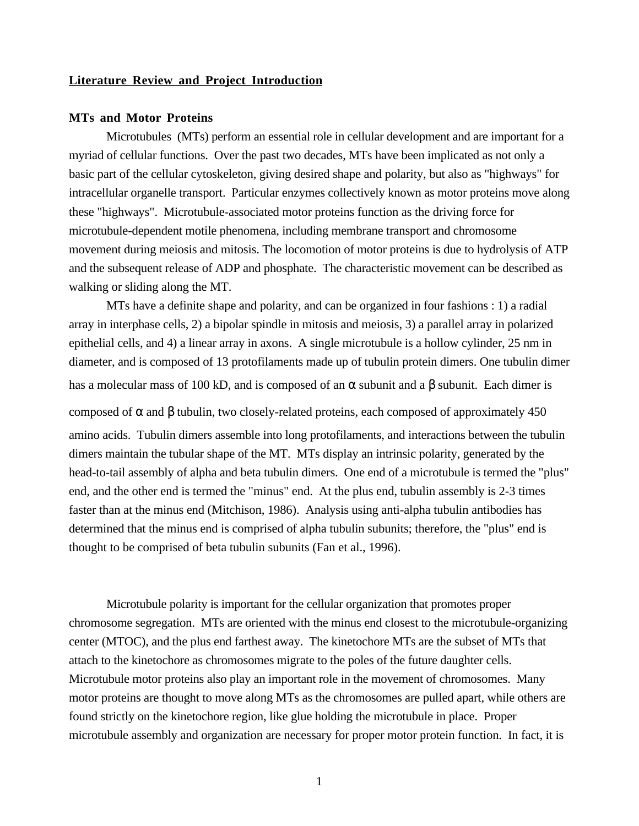## **Literature Review and Project Introduction**

#### **MTs and Motor Proteins**

Microtubules (MTs) perform an essential role in cellular development and are important for a myriad of cellular functions. Over the past two decades, MTs have been implicated as not only a basic part of the cellular cytoskeleton, giving desired shape and polarity, but also as "highways" for intracellular organelle transport. Particular enzymes collectively known as motor proteins move along these "highways". Microtubule-associated motor proteins function as the driving force for microtubule-dependent motile phenomena, including membrane transport and chromosome movement during meiosis and mitosis. The locomotion of motor proteins is due to hydrolysis of ATP and the subsequent release of ADP and phosphate. The characteristic movement can be described as walking or sliding along the MT.

MTs have a definite shape and polarity, and can be organized in four fashions : 1) a radial array in interphase cells, 2) a bipolar spindle in mitosis and meiosis, 3) a parallel array in polarized epithelial cells, and 4) a linear array in axons. A single microtubule is a hollow cylinder, 25 nm in diameter, and is composed of 13 protofilaments made up of tubulin protein dimers. One tubulin dimer has a molecular mass of 100 kD, and is composed of an  $\alpha$  subunit and a  $\beta$  subunit. Each dimer is

composed of α and β tubulin, two closely-related proteins, each composed of approximately 450 amino acids. Tubulin dimers assemble into long protofilaments, and interactions between the tubulin dimers maintain the tubular shape of the MT. MTs display an intrinsic polarity, generated by the head-to-tail assembly of alpha and beta tubulin dimers. One end of a microtubule is termed the "plus" end, and the other end is termed the "minus" end. At the plus end, tubulin assembly is 2-3 times faster than at the minus end (Mitchison, 1986). Analysis using anti-alpha tubulin antibodies has determined that the minus end is comprised of alpha tubulin subunits; therefore, the "plus" end is thought to be comprised of beta tubulin subunits (Fan et al., 1996).

Microtubule polarity is important for the cellular organization that promotes proper chromosome segregation. MTs are oriented with the minus end closest to the microtubule-organizing center (MTOC), and the plus end farthest away. The kinetochore MTs are the subset of MTs that attach to the kinetochore as chromosomes migrate to the poles of the future daughter cells. Microtubule motor proteins also play an important role in the movement of chromosomes. Many motor proteins are thought to move along MTs as the chromosomes are pulled apart, while others are found strictly on the kinetochore region, like glue holding the microtubule in place. Proper microtubule assembly and organization are necessary for proper motor protein function. In fact, it is

1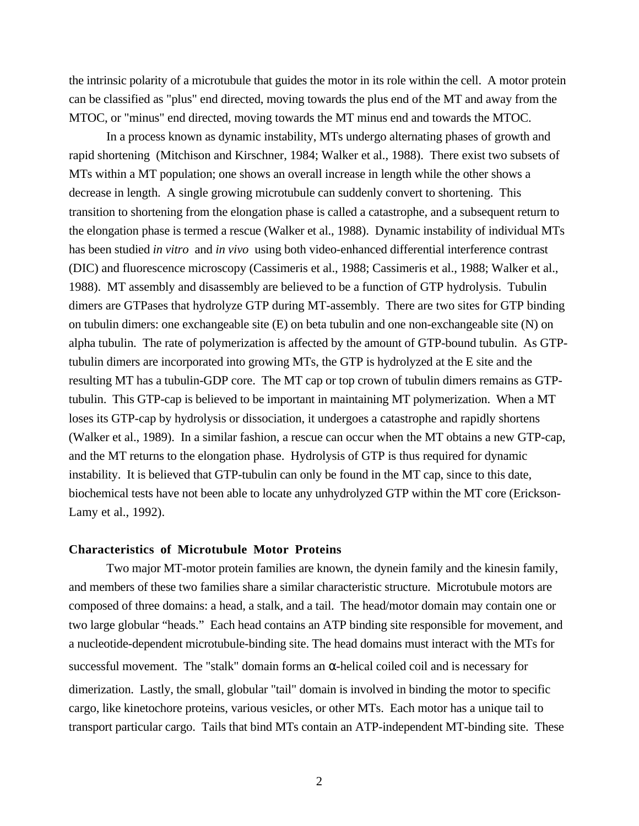the intrinsic polarity of a microtubule that guides the motor in its role within the cell. A motor protein can be classified as "plus" end directed, moving towards the plus end of the MT and away from the MTOC, or "minus" end directed, moving towards the MT minus end and towards the MTOC.

In a process known as dynamic instability, MTs undergo alternating phases of growth and rapid shortening (Mitchison and Kirschner, 1984; Walker et al., 1988). There exist two subsets of MTs within a MT population; one shows an overall increase in length while the other shows a decrease in length. A single growing microtubule can suddenly convert to shortening. This transition to shortening from the elongation phase is called a catastrophe, and a subsequent return to the elongation phase is termed a rescue (Walker et al., 1988). Dynamic instability of individual MTs has been studied *in vitro* and *in vivo* using both video-enhanced differential interference contrast (DIC) and fluorescence microscopy (Cassimeris et al., 1988; Cassimeris et al., 1988; Walker et al., 1988). MT assembly and disassembly are believed to be a function of GTP hydrolysis. Tubulin dimers are GTPases that hydrolyze GTP during MT-assembly. There are two sites for GTP binding on tubulin dimers: one exchangeable site (E) on beta tubulin and one non-exchangeable site (N) on alpha tubulin. The rate of polymerization is affected by the amount of GTP-bound tubulin. As GTPtubulin dimers are incorporated into growing MTs, the GTP is hydrolyzed at the E site and the resulting MT has a tubulin-GDP core. The MT cap or top crown of tubulin dimers remains as GTPtubulin. This GTP-cap is believed to be important in maintaining MT polymerization. When a MT loses its GTP-cap by hydrolysis or dissociation, it undergoes a catastrophe and rapidly shortens (Walker et al., 1989). In a similar fashion, a rescue can occur when the MT obtains a new GTP-cap, and the MT returns to the elongation phase. Hydrolysis of GTP is thus required for dynamic instability. It is believed that GTP-tubulin can only be found in the MT cap, since to this date, biochemical tests have not been able to locate any unhydrolyzed GTP within the MT core (Erickson-Lamy et al., 1992).

## **Characteristics of Microtubule Motor Proteins**

Two major MT-motor protein families are known, the dynein family and the kinesin family, and members of these two families share a similar characteristic structure. Microtubule motors are composed of three domains: a head, a stalk, and a tail. The head/motor domain may contain one or two large globular "heads." Each head contains an ATP binding site responsible for movement, and a nucleotide-dependent microtubule-binding site. The head domains must interact with the MTs for successful movement. The "stalk" domain forms an  $\alpha$ -helical coiled coil and is necessary for dimerization. Lastly, the small, globular "tail" domain is involved in binding the motor to specific cargo, like kinetochore proteins, various vesicles, or other MTs. Each motor has a unique tail to transport particular cargo. Tails that bind MTs contain an ATP-independent MT-binding site. These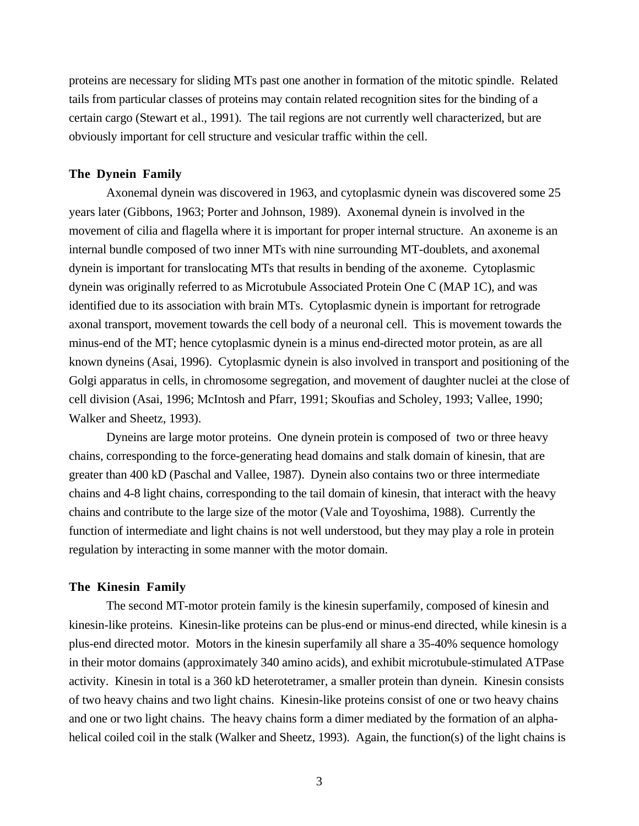proteins are necessary for sliding MTs past one another in formation of the mitotic spindle. Related tails from particular classes of proteins may contain related recognition sites for the binding of a certain cargo (Stewart et al., 1991). The tail regions are not currently well characterized, but are obviously important for cell structure and vesicular traffic within the cell.

### **The Dynein Family**

Axonemal dynein was discovered in 1963, and cytoplasmic dynein was discovered some 25 years later (Gibbons, 1963; Porter and Johnson, 1989). Axonemal dynein is involved in the movement of cilia and flagella where it is important for proper internal structure. An axoneme is an internal bundle composed of two inner MTs with nine surrounding MT-doublets, and axonemal dynein is important for translocating MTs that results in bending of the axoneme. Cytoplasmic dynein was originally referred to as Microtubule Associated Protein One C (MAP 1C), and was identified due to its association with brain MTs. Cytoplasmic dynein is important for retrograde axonal transport, movement towards the cell body of a neuronal cell. This is movement towards the minus-end of the MT; hence cytoplasmic dynein is a minus end-directed motor protein, as are all known dyneins (Asai, 1996). Cytoplasmic dynein is also involved in transport and positioning of the Golgi apparatus in cells, in chromosome segregation, and movement of daughter nuclei at the close of cell division (Asai, 1996; McIntosh and Pfarr, 1991; Skoufias and Scholey, 1993; Vallee, 1990; Walker and Sheetz, 1993).

Dyneins are large motor proteins. One dynein protein is composed of two or three heavy chains, corresponding to the force-generating head domains and stalk domain of kinesin, that are greater than 400 kD (Paschal and Vallee, 1987). Dynein also contains two or three intermediate chains and 4-8 light chains, corresponding to the tail domain of kinesin, that interact with the heavy chains and contribute to the large size of the motor (Vale and Toyoshima, 1988). Currently the function of intermediate and light chains is not well understood, but they may play a role in protein regulation by interacting in some manner with the motor domain.

#### **The Kinesin Family**

The second MT-motor protein family is the kinesin superfamily, composed of kinesin and kinesin-like proteins. Kinesin-like proteins can be plus-end or minus-end directed, while kinesin is a plus-end directed motor. Motors in the kinesin superfamily all share a 35-40% sequence homology in their motor domains (approximately 340 amino acids), and exhibit microtubule-stimulated ATPase activity. Kinesin in total is a 360 kD heterotetramer, a smaller protein than dynein. Kinesin consists of two heavy chains and two light chains. Kinesin-like proteins consist of one or two heavy chains and one or two light chains. The heavy chains form a dimer mediated by the formation of an alphahelical coiled coil in the stalk (Walker and Sheetz, 1993). Again, the function(s) of the light chains is

3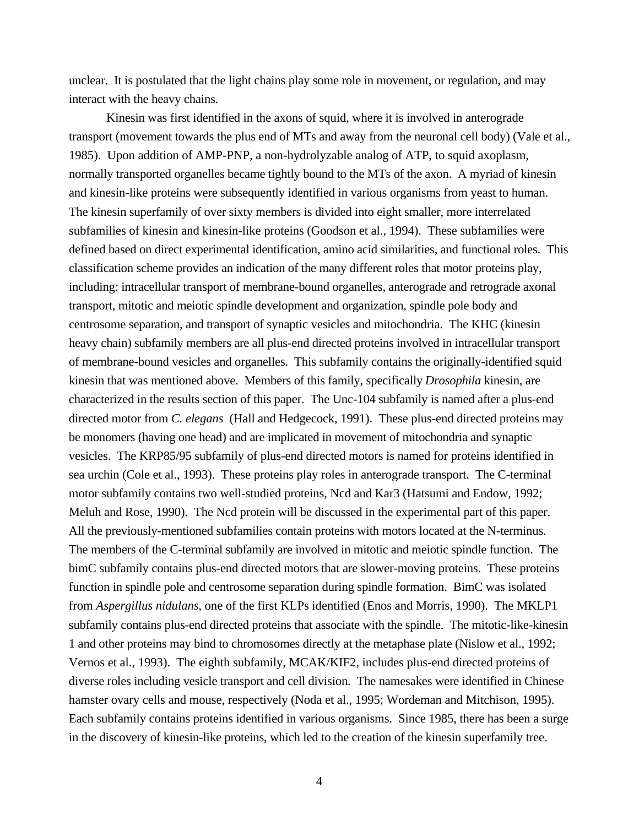unclear. It is postulated that the light chains play some role in movement, or regulation, and may interact with the heavy chains.

Kinesin was first identified in the axons of squid, where it is involved in anterograde transport (movement towards the plus end of MTs and away from the neuronal cell body) (Vale et al., 1985). Upon addition of AMP-PNP, a non-hydrolyzable analog of ATP, to squid axoplasm, normally transported organelles became tightly bound to the MTs of the axon. A myriad of kinesin and kinesin-like proteins were subsequently identified in various organisms from yeast to human. The kinesin superfamily of over sixty members is divided into eight smaller, more interrelated subfamilies of kinesin and kinesin-like proteins (Goodson et al., 1994). These subfamilies were defined based on direct experimental identification, amino acid similarities, and functional roles. This classification scheme provides an indication of the many different roles that motor proteins play, including: intracellular transport of membrane-bound organelles, anterograde and retrograde axonal transport, mitotic and meiotic spindle development and organization, spindle pole body and centrosome separation, and transport of synaptic vesicles and mitochondria. The KHC (kinesin heavy chain) subfamily members are all plus-end directed proteins involved in intracellular transport of membrane-bound vesicles and organelles. This subfamily contains the originally-identified squid kinesin that was mentioned above. Members of this family, specifically *Drosophila* kinesin, are characterized in the results section of this paper. The Unc-104 subfamily is named after a plus-end directed motor from *C. elegans* (Hall and Hedgecock, 1991). These plus-end directed proteins may be monomers (having one head) and are implicated in movement of mitochondria and synaptic vesicles. The KRP85/95 subfamily of plus-end directed motors is named for proteins identified in sea urchin (Cole et al., 1993). These proteins play roles in anterograde transport. The C-terminal motor subfamily contains two well-studied proteins, Ncd and Kar3 (Hatsumi and Endow, 1992; Meluh and Rose, 1990). The Ncd protein will be discussed in the experimental part of this paper. All the previously-mentioned subfamilies contain proteins with motors located at the N-terminus. The members of the C-terminal subfamily are involved in mitotic and meiotic spindle function. The bimC subfamily contains plus-end directed motors that are slower-moving proteins. These proteins function in spindle pole and centrosome separation during spindle formation. BimC was isolated from *Aspergillus nidulans*, one of the first KLPs identified (Enos and Morris, 1990). The MKLP1 subfamily contains plus-end directed proteins that associate with the spindle. The mitotic-like-kinesin 1 and other proteins may bind to chromosomes directly at the metaphase plate (Nislow et al., 1992; Vernos et al., 1993). The eighth subfamily, MCAK/KIF2, includes plus-end directed proteins of diverse roles including vesicle transport and cell division. The namesakes were identified in Chinese hamster ovary cells and mouse, respectively (Noda et al., 1995; Wordeman and Mitchison, 1995). Each subfamily contains proteins identified in various organisms. Since 1985, there has been a surge in the discovery of kinesin-like proteins, which led to the creation of the kinesin superfamily tree.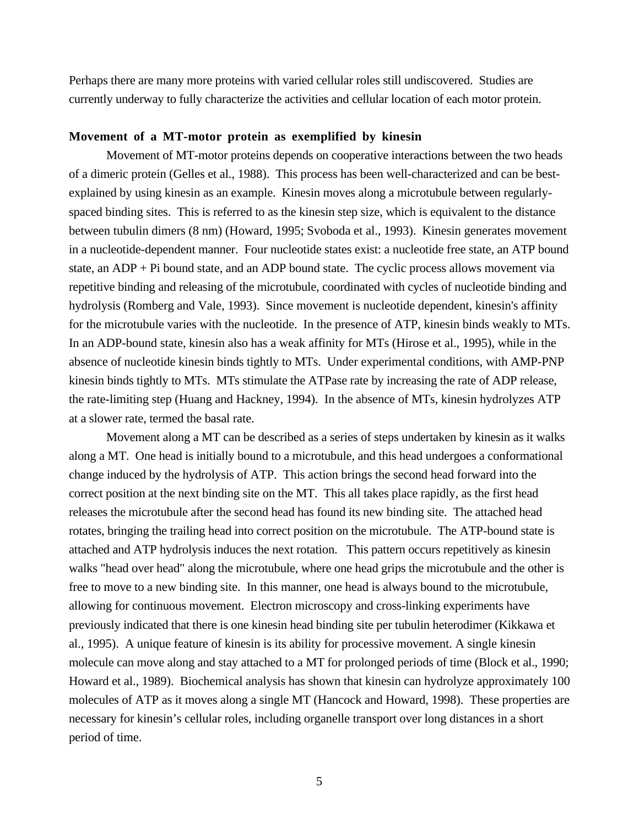Perhaps there are many more proteins with varied cellular roles still undiscovered. Studies are currently underway to fully characterize the activities and cellular location of each motor protein.

## **Movement of a MT-motor protein as exemplified by kinesin**

Movement of MT-motor proteins depends on cooperative interactions between the two heads of a dimeric protein (Gelles et al., 1988). This process has been well-characterized and can be bestexplained by using kinesin as an example. Kinesin moves along a microtubule between regularlyspaced binding sites. This is referred to as the kinesin step size, which is equivalent to the distance between tubulin dimers (8 nm) (Howard, 1995; Svoboda et al., 1993). Kinesin generates movement in a nucleotide-dependent manner. Four nucleotide states exist: a nucleotide free state, an ATP bound state, an ADP + Pi bound state, and an ADP bound state. The cyclic process allows movement via repetitive binding and releasing of the microtubule, coordinated with cycles of nucleotide binding and hydrolysis (Romberg and Vale, 1993). Since movement is nucleotide dependent, kinesin's affinity for the microtubule varies with the nucleotide. In the presence of ATP, kinesin binds weakly to MTs. In an ADP-bound state, kinesin also has a weak affinity for MTs (Hirose et al., 1995), while in the absence of nucleotide kinesin binds tightly to MTs. Under experimental conditions, with AMP-PNP kinesin binds tightly to MTs. MTs stimulate the ATPase rate by increasing the rate of ADP release, the rate-limiting step (Huang and Hackney, 1994). In the absence of MTs, kinesin hydrolyzes ATP at a slower rate, termed the basal rate.

Movement along a MT can be described as a series of steps undertaken by kinesin as it walks along a MT. One head is initially bound to a microtubule, and this head undergoes a conformational change induced by the hydrolysis of ATP. This action brings the second head forward into the correct position at the next binding site on the MT. This all takes place rapidly, as the first head releases the microtubule after the second head has found its new binding site. The attached head rotates, bringing the trailing head into correct position on the microtubule. The ATP-bound state is attached and ATP hydrolysis induces the next rotation. This pattern occurs repetitively as kinesin walks "head over head" along the microtubule, where one head grips the microtubule and the other is free to move to a new binding site. In this manner, one head is always bound to the microtubule, allowing for continuous movement. Electron microscopy and cross-linking experiments have previously indicated that there is one kinesin head binding site per tubulin heterodimer (Kikkawa et al., 1995). A unique feature of kinesin is its ability for processive movement. A single kinesin molecule can move along and stay attached to a MT for prolonged periods of time (Block et al., 1990; Howard et al., 1989). Biochemical analysis has shown that kinesin can hydrolyze approximately 100 molecules of ATP as it moves along a single MT (Hancock and Howard, 1998). These properties are necessary for kinesin's cellular roles, including organelle transport over long distances in a short period of time.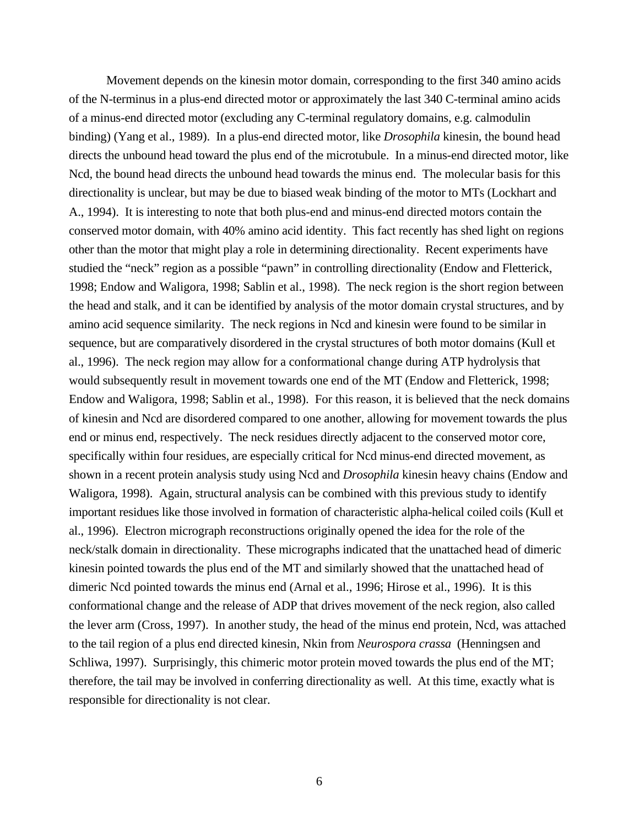Movement depends on the kinesin motor domain, corresponding to the first 340 amino acids of the N-terminus in a plus-end directed motor or approximately the last 340 C-terminal amino acids of a minus-end directed motor (excluding any C-terminal regulatory domains, e.g. calmodulin binding) (Yang et al., 1989). In a plus-end directed motor, like *Drosophila* kinesin, the bound head directs the unbound head toward the plus end of the microtubule. In a minus-end directed motor, like Ncd, the bound head directs the unbound head towards the minus end. The molecular basis for this directionality is unclear, but may be due to biased weak binding of the motor to MTs (Lockhart and A., 1994). It is interesting to note that both plus-end and minus-end directed motors contain the conserved motor domain, with 40% amino acid identity. This fact recently has shed light on regions other than the motor that might play a role in determining directionality. Recent experiments have studied the "neck" region as a possible "pawn" in controlling directionality (Endow and Fletterick, 1998; Endow and Waligora, 1998; Sablin et al., 1998). The neck region is the short region between the head and stalk, and it can be identified by analysis of the motor domain crystal structures, and by amino acid sequence similarity. The neck regions in Ncd and kinesin were found to be similar in sequence, but are comparatively disordered in the crystal structures of both motor domains (Kull et al., 1996). The neck region may allow for a conformational change during ATP hydrolysis that would subsequently result in movement towards one end of the MT (Endow and Fletterick, 1998; Endow and Waligora, 1998; Sablin et al., 1998). For this reason, it is believed that the neck domains of kinesin and Ncd are disordered compared to one another, allowing for movement towards the plus end or minus end, respectively. The neck residues directly adjacent to the conserved motor core, specifically within four residues, are especially critical for Ncd minus-end directed movement, as shown in a recent protein analysis study using Ncd and *Drosophila* kinesin heavy chains (Endow and Waligora, 1998). Again, structural analysis can be combined with this previous study to identify important residues like those involved in formation of characteristic alpha-helical coiled coils (Kull et al., 1996). Electron micrograph reconstructions originally opened the idea for the role of the neck/stalk domain in directionality. These micrographs indicated that the unattached head of dimeric kinesin pointed towards the plus end of the MT and similarly showed that the unattached head of dimeric Ncd pointed towards the minus end (Arnal et al., 1996; Hirose et al., 1996). It is this conformational change and the release of ADP that drives movement of the neck region, also called the lever arm (Cross, 1997). In another study, the head of the minus end protein, Ncd, was attached to the tail region of a plus end directed kinesin, Nkin from *Neurospora crassa* (Henningsen and Schliwa, 1997). Surprisingly, this chimeric motor protein moved towards the plus end of the MT; therefore, the tail may be involved in conferring directionality as well. At this time, exactly what is responsible for directionality is not clear.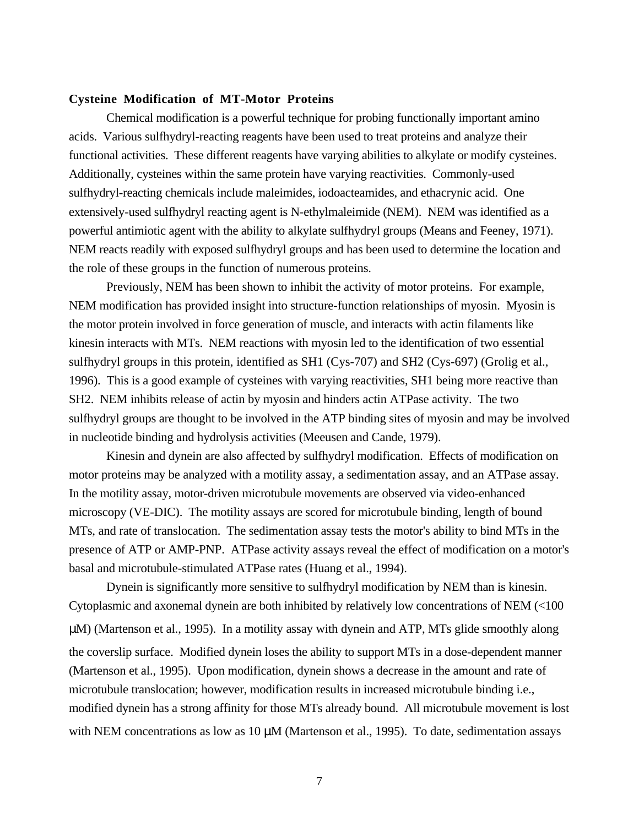### **Cysteine Modification of MT-Motor Proteins**

Chemical modification is a powerful technique for probing functionally important amino acids. Various sulfhydryl-reacting reagents have been used to treat proteins and analyze their functional activities. These different reagents have varying abilities to alkylate or modify cysteines. Additionally, cysteines within the same protein have varying reactivities. Commonly-used sulfhydryl-reacting chemicals include maleimides, iodoacteamides, and ethacrynic acid. One extensively-used sulfhydryl reacting agent is N-ethylmaleimide (NEM). NEM was identified as a powerful antimiotic agent with the ability to alkylate sulfhydryl groups (Means and Feeney, 1971). NEM reacts readily with exposed sulfhydryl groups and has been used to determine the location and the role of these groups in the function of numerous proteins.

Previously, NEM has been shown to inhibit the activity of motor proteins. For example, NEM modification has provided insight into structure-function relationships of myosin. Myosin is the motor protein involved in force generation of muscle, and interacts with actin filaments like kinesin interacts with MTs. NEM reactions with myosin led to the identification of two essential sulfhydryl groups in this protein, identified as SH1 (Cys-707) and SH2 (Cys-697) (Grolig et al., 1996). This is a good example of cysteines with varying reactivities, SH1 being more reactive than SH2. NEM inhibits release of actin by myosin and hinders actin ATPase activity. The two sulfhydryl groups are thought to be involved in the ATP binding sites of myosin and may be involved in nucleotide binding and hydrolysis activities (Meeusen and Cande, 1979).

Kinesin and dynein are also affected by sulfhydryl modification. Effects of modification on motor proteins may be analyzed with a motility assay, a sedimentation assay, and an ATPase assay. In the motility assay, motor-driven microtubule movements are observed via video-enhanced microscopy (VE-DIC). The motility assays are scored for microtubule binding, length of bound MTs, and rate of translocation. The sedimentation assay tests the motor's ability to bind MTs in the presence of ATP or AMP-PNP. ATPase activity assays reveal the effect of modification on a motor's basal and microtubule-stimulated ATPase rates (Huang et al., 1994).

Dynein is significantly more sensitive to sulfhydryl modification by NEM than is kinesin. Cytoplasmic and axonemal dynein are both inhibited by relatively low concentrations of NEM (<100 µM) (Martenson et al., 1995). In a motility assay with dynein and ATP, MTs glide smoothly along the coverslip surface. Modified dynein loses the ability to support MTs in a dose-dependent manner (Martenson et al., 1995). Upon modification, dynein shows a decrease in the amount and rate of microtubule translocation; however, modification results in increased microtubule binding i.e., modified dynein has a strong affinity for those MTs already bound. All microtubule movement is lost with NEM concentrations as low as  $10 \mu$ M (Martenson et al., 1995). To date, sedimentation assays

7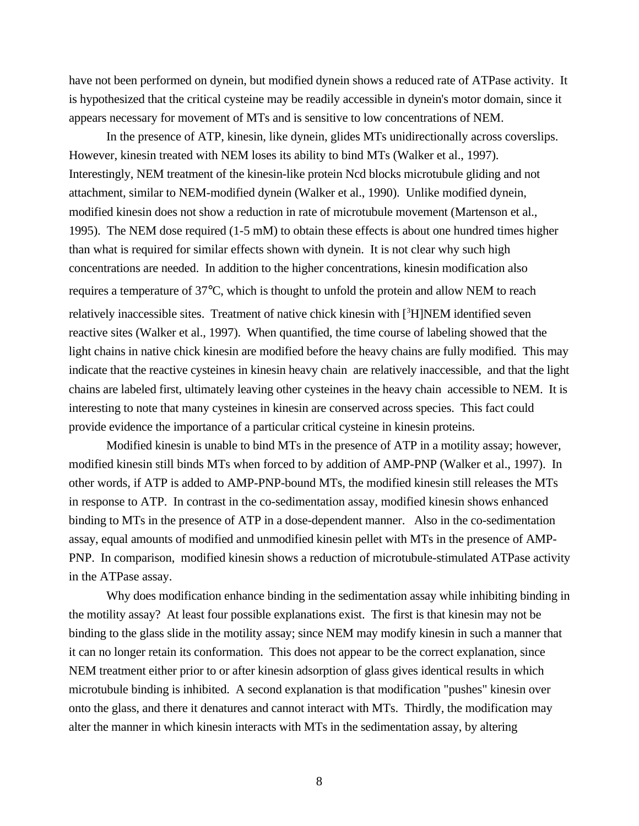have not been performed on dynein, but modified dynein shows a reduced rate of ATPase activity. It is hypothesized that the critical cysteine may be readily accessible in dynein's motor domain, since it appears necessary for movement of MTs and is sensitive to low concentrations of NEM.

In the presence of ATP, kinesin, like dynein, glides MTs unidirectionally across coverslips. However, kinesin treated with NEM loses its ability to bind MTs (Walker et al., 1997). Interestingly, NEM treatment of the kinesin-like protein Ncd blocks microtubule gliding and not attachment, similar to NEM-modified dynein (Walker et al., 1990). Unlike modified dynein, modified kinesin does not show a reduction in rate of microtubule movement (Martenson et al., 1995). The NEM dose required (1-5 mM) to obtain these effects is about one hundred times higher than what is required for similar effects shown with dynein. It is not clear why such high concentrations are needed. In addition to the higher concentrations, kinesin modification also requires a temperature of 37°C, which is thought to unfold the protein and allow NEM to reach relatively inaccessible sites. Treatment of native chick kinesin with [3H]NEM identified seven reactive sites (Walker et al., 1997). When quantified, the time course of labeling showed that the light chains in native chick kinesin are modified before the heavy chains are fully modified. This may indicate that the reactive cysteines in kinesin heavy chain are relatively inaccessible, and that the light chains are labeled first, ultimately leaving other cysteines in the heavy chain accessible to NEM. It is interesting to note that many cysteines in kinesin are conserved across species. This fact could provide evidence the importance of a particular critical cysteine in kinesin proteins.

Modified kinesin is unable to bind MTs in the presence of ATP in a motility assay; however, modified kinesin still binds MTs when forced to by addition of AMP-PNP (Walker et al., 1997). In other words, if ATP is added to AMP-PNP-bound MTs, the modified kinesin still releases the MTs in response to ATP. In contrast in the co-sedimentation assay, modified kinesin shows enhanced binding to MTs in the presence of ATP in a dose-dependent manner. Also in the co-sedimentation assay, equal amounts of modified and unmodified kinesin pellet with MTs in the presence of AMP-PNP. In comparison, modified kinesin shows a reduction of microtubule-stimulated ATPase activity in the ATPase assay.

Why does modification enhance binding in the sedimentation assay while inhibiting binding in the motility assay? At least four possible explanations exist. The first is that kinesin may not be binding to the glass slide in the motility assay; since NEM may modify kinesin in such a manner that it can no longer retain its conformation. This does not appear to be the correct explanation, since NEM treatment either prior to or after kinesin adsorption of glass gives identical results in which microtubule binding is inhibited. A second explanation is that modification "pushes" kinesin over onto the glass, and there it denatures and cannot interact with MTs. Thirdly, the modification may alter the manner in which kinesin interacts with MTs in the sedimentation assay, by altering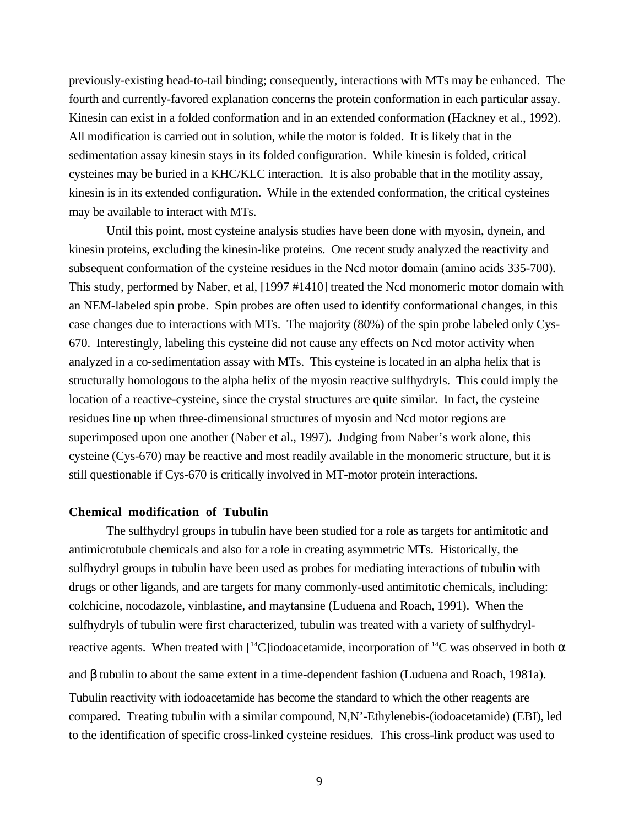previously-existing head-to-tail binding; consequently, interactions with MTs may be enhanced. The fourth and currently-favored explanation concerns the protein conformation in each particular assay. Kinesin can exist in a folded conformation and in an extended conformation (Hackney et al., 1992). All modification is carried out in solution, while the motor is folded. It is likely that in the sedimentation assay kinesin stays in its folded configuration. While kinesin is folded, critical cysteines may be buried in a KHC/KLC interaction. It is also probable that in the motility assay, kinesin is in its extended configuration. While in the extended conformation, the critical cysteines may be available to interact with MTs.

Until this point, most cysteine analysis studies have been done with myosin, dynein, and kinesin proteins, excluding the kinesin-like proteins. One recent study analyzed the reactivity and subsequent conformation of the cysteine residues in the Ncd motor domain (amino acids 335-700). This study, performed by Naber, et al, [1997 #1410] treated the Ncd monomeric motor domain with an NEM-labeled spin probe. Spin probes are often used to identify conformational changes, in this case changes due to interactions with MTs. The majority (80%) of the spin probe labeled only Cys-670. Interestingly, labeling this cysteine did not cause any effects on Ncd motor activity when analyzed in a co-sedimentation assay with MTs. This cysteine is located in an alpha helix that is structurally homologous to the alpha helix of the myosin reactive sulfhydryls. This could imply the location of a reactive-cysteine, since the crystal structures are quite similar. In fact, the cysteine residues line up when three-dimensional structures of myosin and Ncd motor regions are superimposed upon one another (Naber et al., 1997). Judging from Naber's work alone, this cysteine (Cys-670) may be reactive and most readily available in the monomeric structure, but it is still questionable if Cys-670 is critically involved in MT-motor protein interactions.

#### **Chemical modification of Tubulin**

The sulfhydryl groups in tubulin have been studied for a role as targets for antimitotic and antimicrotubule chemicals and also for a role in creating asymmetric MTs. Historically, the sulfhydryl groups in tubulin have been used as probes for mediating interactions of tubulin with drugs or other ligands, and are targets for many commonly-used antimitotic chemicals, including: colchicine, nocodazole, vinblastine, and maytansine (Luduena and Roach, 1991). When the sulfhydryls of tubulin were first characterized, tubulin was treated with a variety of sulfhydrylreactive agents. When treated with  $\int_1^1 C \cdot \text{Iodoacetamide}$ , incorporation of  $\int_1^1 C \cdot \text{was observed in both } \alpha$ and β tubulin to about the same extent in a time-dependent fashion (Luduena and Roach, 1981a). Tubulin reactivity with iodoacetamide has become the standard to which the other reagents are compared. Treating tubulin with a similar compound, N,N'-Ethylenebis-(iodoacetamide) (EBI), led to the identification of specific cross-linked cysteine residues. This cross-link product was used to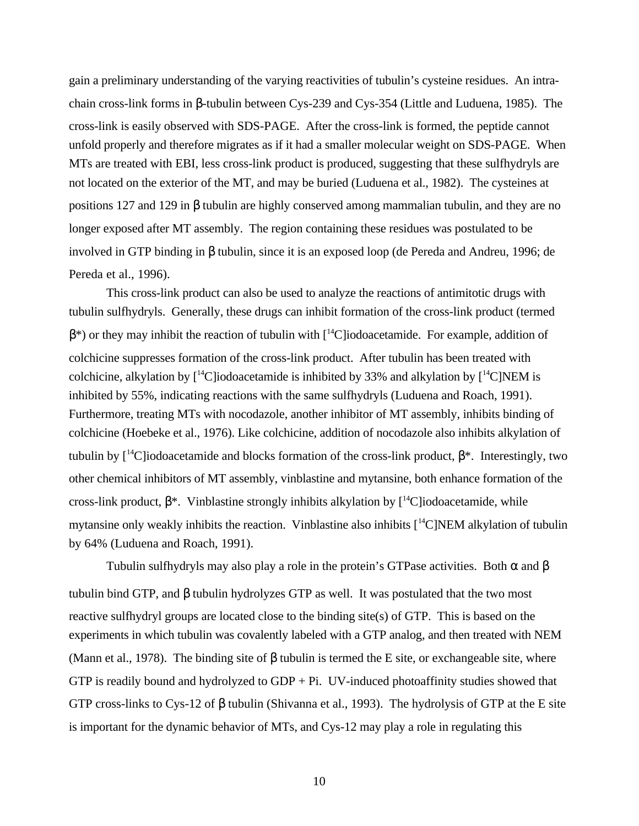gain a preliminary understanding of the varying reactivities of tubulin's cysteine residues. An intrachain cross-link forms in β-tubulin between Cys-239 and Cys-354 (Little and Luduena, 1985). The cross-link is easily observed with SDS-PAGE. After the cross-link is formed, the peptide cannot unfold properly and therefore migrates as if it had a smaller molecular weight on SDS-PAGE. When MTs are treated with EBI, less cross-link product is produced, suggesting that these sulfhydryls are not located on the exterior of the MT, and may be buried (Luduena et al., 1982). The cysteines at positions 127 and 129 in β tubulin are highly conserved among mammalian tubulin, and they are no longer exposed after MT assembly. The region containing these residues was postulated to be involved in GTP binding in β tubulin, since it is an exposed loop (de Pereda and Andreu, 1996; de Pereda et al., 1996).

This cross-link product can also be used to analyze the reactions of antimitotic drugs with tubulin sulfhydryls. Generally, these drugs can inhibit formation of the cross-link product (termed  $\beta^*$ ) or they may inhibit the reaction of tubulin with  $\beta^*$ C liodoacetamide. For example, addition of colchicine suppresses formation of the cross-link product. After tubulin has been treated with colchicine, alkylation by  $\lceil {^{14}C}\rceil$ iodoacetamide is inhibited by 33% and alkylation by  $\lceil {^{14}C}\rceil$ NEM is inhibited by 55%, indicating reactions with the same sulfhydryls (Luduena and Roach, 1991). Furthermore, treating MTs with nocodazole, another inhibitor of MT assembly, inhibits binding of colchicine (Hoebeke et al., 1976). Like colchicine, addition of nocodazole also inhibits alkylation of tubulin by  $[14C]$ iodoacetamide and blocks formation of the cross-link product,  $β^*$ . Interestingly, two other chemical inhibitors of MT assembly, vinblastine and mytansine, both enhance formation of the cross-link product,  $β^*$ . Vinblastine strongly inhibits alkylation by  $[{}^{14}C]$ iodoacetamide, while mytansine only weakly inhibits the reaction. Vinblastine also inhibits  $[{}^{14}C]NEM$  alkylation of tubulin by 64% (Luduena and Roach, 1991).

Tubulin sulfhydryls may also play a role in the protein's GTPase activities. Both  $\alpha$  and  $\beta$ tubulin bind GTP, and β tubulin hydrolyzes GTP as well. It was postulated that the two most reactive sulfhydryl groups are located close to the binding site(s) of GTP. This is based on the experiments in which tubulin was covalently labeled with a GTP analog, and then treated with NEM (Mann et al., 1978). The binding site of  $\beta$  tubulin is termed the E site, or exchangeable site, where GTP is readily bound and hydrolyzed to  $GDP + Pi$ . UV-induced photoaffinity studies showed that GTP cross-links to Cys-12 of β tubulin (Shivanna et al., 1993). The hydrolysis of GTP at the E site is important for the dynamic behavior of MTs, and Cys-12 may play a role in regulating this

10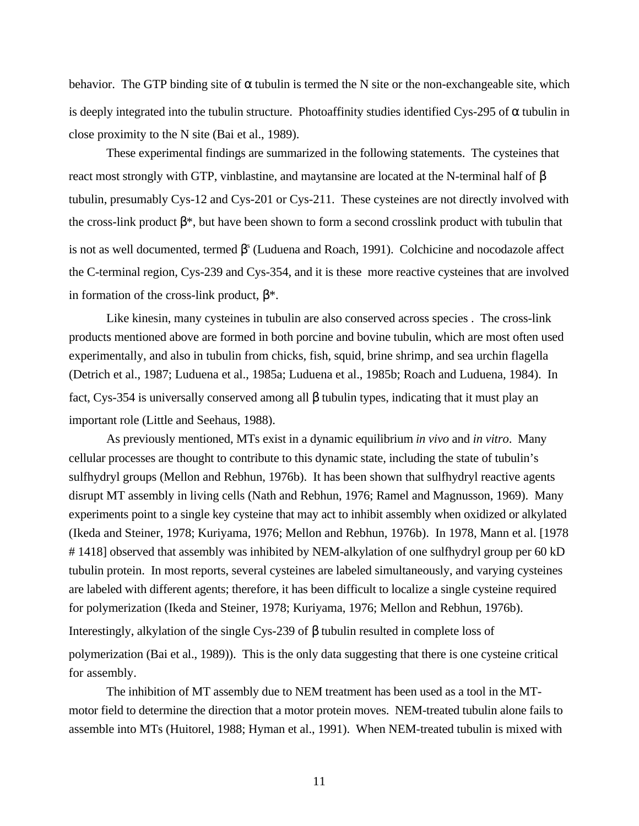behavior. The GTP binding site of  $\alpha$  tubulin is termed the N site or the non-exchangeable site, which is deeply integrated into the tubulin structure. Photoaffinity studies identified Cys-295 of  $\alpha$  tubulin in close proximity to the N site (Bai et al., 1989).

These experimental findings are summarized in the following statements. The cysteines that react most strongly with GTP, vinblastine, and may tansine are located at the N-terminal half of β tubulin, presumably Cys-12 and Cys-201 or Cys-211. These cysteines are not directly involved with the cross-link product  $\beta^*$ , but have been shown to form a second crosslink product with tubulin that is not as well documented, termed  $\beta$ <sup>s</sup> (Luduena and Roach, 1991). Colchicine and nocodazole affect the C-terminal region, Cys-239 and Cys-354, and it is these more reactive cysteines that are involved in formation of the cross-link product,  $β^*$ .

Like kinesin, many cysteines in tubulin are also conserved across species . The cross-link products mentioned above are formed in both porcine and bovine tubulin, which are most often used experimentally, and also in tubulin from chicks, fish, squid, brine shrimp, and sea urchin flagella (Detrich et al., 1987; Luduena et al., 1985a; Luduena et al., 1985b; Roach and Luduena, 1984). In fact, Cys-354 is universally conserved among all β tubulin types, indicating that it must play an important role (Little and Seehaus, 1988).

As previously mentioned, MTs exist in a dynamic equilibrium *in vivo* and *in vitro*. Many cellular processes are thought to contribute to this dynamic state, including the state of tubulin's sulfhydryl groups (Mellon and Rebhun, 1976b). It has been shown that sulfhydryl reactive agents disrupt MT assembly in living cells (Nath and Rebhun, 1976; Ramel and Magnusson, 1969). Many experiments point to a single key cysteine that may act to inhibit assembly when oxidized or alkylated (Ikeda and Steiner, 1978; Kuriyama, 1976; Mellon and Rebhun, 1976b). In 1978, Mann et al. [1978 # 1418] observed that assembly was inhibited by NEM-alkylation of one sulfhydryl group per 60 kD tubulin protein. In most reports, several cysteines are labeled simultaneously, and varying cysteines are labeled with different agents; therefore, it has been difficult to localize a single cysteine required for polymerization (Ikeda and Steiner, 1978; Kuriyama, 1976; Mellon and Rebhun, 1976b). Interestingly, alkylation of the single Cys-239 of β tubulin resulted in complete loss of

polymerization (Bai et al., 1989)). This is the only data suggesting that there is one cysteine critical for assembly.

The inhibition of MT assembly due to NEM treatment has been used as a tool in the MTmotor field to determine the direction that a motor protein moves. NEM-treated tubulin alone fails to assemble into MTs (Huitorel, 1988; Hyman et al., 1991). When NEM-treated tubulin is mixed with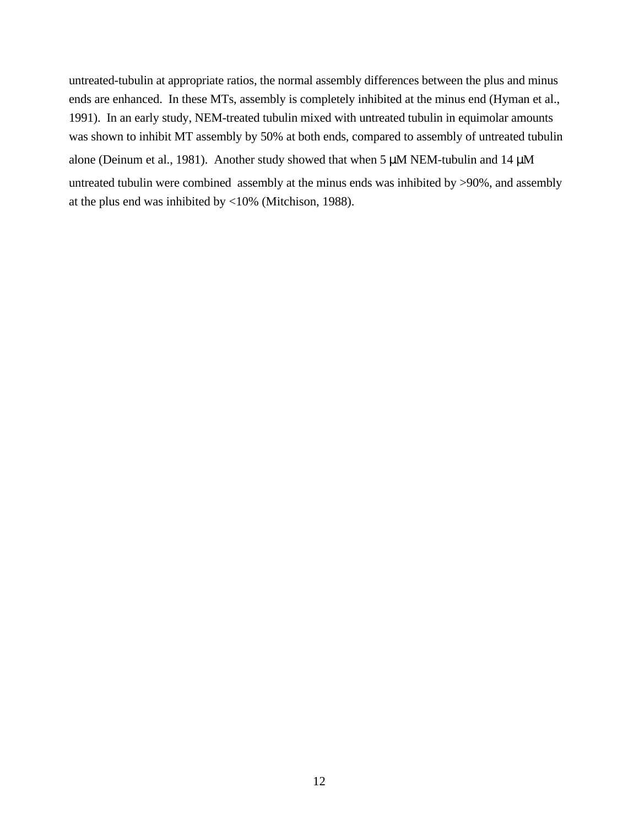untreated-tubulin at appropriate ratios, the normal assembly differences between the plus and minus ends are enhanced. In these MTs, assembly is completely inhibited at the minus end (Hyman et al., 1991). In an early study, NEM-treated tubulin mixed with untreated tubulin in equimolar amounts was shown to inhibit MT assembly by 50% at both ends, compared to assembly of untreated tubulin alone (Deinum et al., 1981). Another study showed that when 5  $\mu$ M NEM-tubulin and 14  $\mu$ M untreated tubulin were combined assembly at the minus ends was inhibited by >90%, and assembly at the plus end was inhibited by <10% (Mitchison, 1988).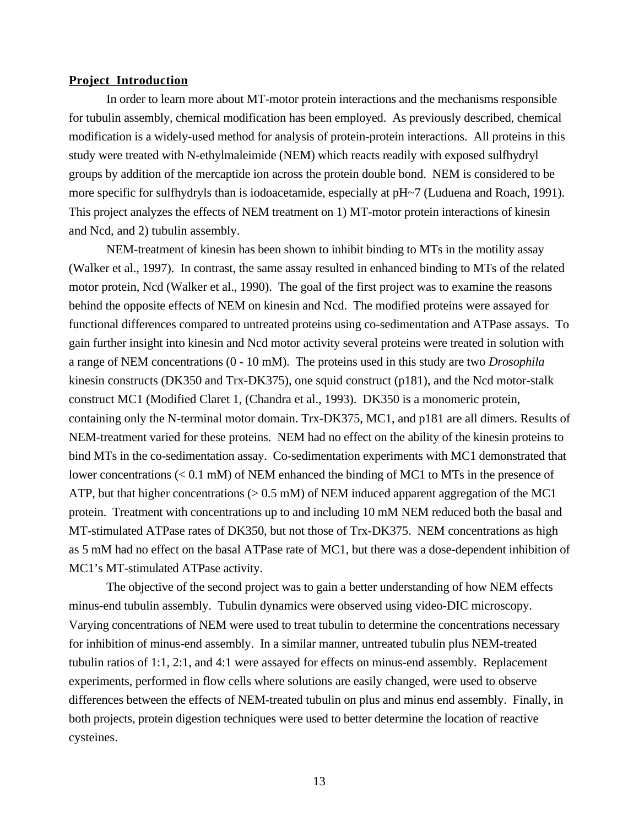## **Project Introduction**

In order to learn more about MT-motor protein interactions and the mechanisms responsible for tubulin assembly, chemical modification has been employed. As previously described, chemical modification is a widely-used method for analysis of protein-protein interactions. All proteins in this study were treated with N-ethylmaleimide (NEM) which reacts readily with exposed sulfhydryl groups by addition of the mercaptide ion across the protein double bond. NEM is considered to be more specific for sulfhydryls than is iodoacetamide, especially at pH~7 (Luduena and Roach, 1991). This project analyzes the effects of NEM treatment on 1) MT-motor protein interactions of kinesin and Ncd, and 2) tubulin assembly.

NEM-treatment of kinesin has been shown to inhibit binding to MTs in the motility assay (Walker et al., 1997). In contrast, the same assay resulted in enhanced binding to MTs of the related motor protein, Ncd (Walker et al., 1990). The goal of the first project was to examine the reasons behind the opposite effects of NEM on kinesin and Ncd. The modified proteins were assayed for functional differences compared to untreated proteins using co-sedimentation and ATPase assays. To gain further insight into kinesin and Ncd motor activity several proteins were treated in solution with a range of NEM concentrations (0 - 10 mM). The proteins used in this study are two *Drosophila* kinesin constructs (DK350 and Trx-DK375), one squid construct (p181), and the Ncd motor-stalk construct MC1 (Modified Claret 1, (Chandra et al., 1993). DK350 is a monomeric protein, containing only the N-terminal motor domain. Trx-DK375, MC1, and p181 are all dimers. Results of NEM-treatment varied for these proteins. NEM had no effect on the ability of the kinesin proteins to bind MTs in the co-sedimentation assay. Co-sedimentation experiments with MC1 demonstrated that lower concentrations (< 0.1 mM) of NEM enhanced the binding of MC1 to MTs in the presence of ATP, but that higher concentrations  $(> 0.5 \text{ mM})$  of NEM induced apparent aggregation of the MC1 protein. Treatment with concentrations up to and including 10 mM NEM reduced both the basal and MT-stimulated ATPase rates of DK350, but not those of Trx-DK375. NEM concentrations as high as 5 mM had no effect on the basal ATPase rate of MC1, but there was a dose-dependent inhibition of MC1's MT-stimulated ATPase activity.

The objective of the second project was to gain a better understanding of how NEM effects minus-end tubulin assembly. Tubulin dynamics were observed using video-DIC microscopy. Varying concentrations of NEM were used to treat tubulin to determine the concentrations necessary for inhibition of minus-end assembly. In a similar manner, untreated tubulin plus NEM-treated tubulin ratios of 1:1, 2:1, and 4:1 were assayed for effects on minus-end assembly. Replacement experiments, performed in flow cells where solutions are easily changed, were used to observe differences between the effects of NEM-treated tubulin on plus and minus end assembly. Finally, in both projects, protein digestion techniques were used to better determine the location of reactive cysteines.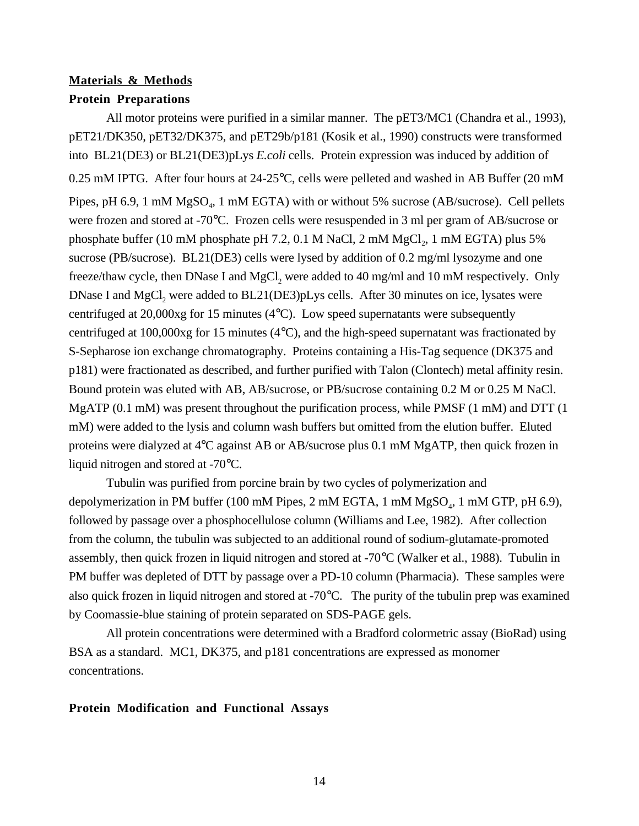## **Materials & Methods Protein Preparations**

All motor proteins were purified in a similar manner. The pET3/MC1 (Chandra et al., 1993), pET21/DK350, pET32/DK375, and pET29b/p181 (Kosik et al., 1990) constructs were transformed into BL21(DE3) or BL21(DE3)pLys *E.coli* cells. Protein expression was induced by addition of 0.25 mM IPTG. After four hours at 24-25°C, cells were pelleted and washed in AB Buffer (20 mM Pipes, pH 6.9, 1 mM  $MgSO<sub>4</sub>$ , 1 mM EGTA) with or without 5% sucrose (AB/sucrose). Cell pellets were frozen and stored at -70°C. Frozen cells were resuspended in 3 ml per gram of AB/sucrose or phosphate buffer (10 mM phosphate pH 7.2, 0.1 M NaCl, 2 mM  $MgCl<sub>2</sub>$ , 1 mM EGTA) plus 5% sucrose (PB/sucrose). BL21(DE3) cells were lysed by addition of 0.2 mg/ml lysozyme and one freeze/thaw cycle, then DNase I and MgCl, were added to 40 mg/ml and 10 mM respectively. Only DNase I and MgCl<sub>2</sub> were added to BL21(DE3)pLys cells. After 30 minutes on ice, lysates were centrifuged at 20,000xg for 15 minutes (4°C). Low speed supernatants were subsequently centrifuged at 100,000xg for 15 minutes (4°C), and the high-speed supernatant was fractionated by S-Sepharose ion exchange chromatography. Proteins containing a His-Tag sequence (DK375 and p181) were fractionated as described, and further purified with Talon (Clontech) metal affinity resin. Bound protein was eluted with AB, AB/sucrose, or PB/sucrose containing 0.2 M or 0.25 M NaCl. MgATP (0.1 mM) was present throughout the purification process, while PMSF (1 mM) and DTT (1 mM) were added to the lysis and column wash buffers but omitted from the elution buffer. Eluted proteins were dialyzed at 4°C against AB or AB/sucrose plus 0.1 mM MgATP, then quick frozen in liquid nitrogen and stored at -70°C.

Tubulin was purified from porcine brain by two cycles of polymerization and depolymerization in PM buffer (100 mM Pipes, 2 mM EGTA, 1 mM  $MgSO<sub>4</sub>$ , 1 mM GTP, pH 6.9), followed by passage over a phosphocellulose column (Williams and Lee, 1982). After collection from the column, the tubulin was subjected to an additional round of sodium-glutamate-promoted assembly, then quick frozen in liquid nitrogen and stored at -70°C (Walker et al., 1988). Tubulin in PM buffer was depleted of DTT by passage over a PD-10 column (Pharmacia). These samples were also quick frozen in liquid nitrogen and stored at -70°C. The purity of the tubulin prep was examined by Coomassie-blue staining of protein separated on SDS-PAGE gels.

All protein concentrations were determined with a Bradford colormetric assay (BioRad) using BSA as a standard. MC1, DK375, and p181 concentrations are expressed as monomer concentrations.

## **Protein Modification and Functional Assays**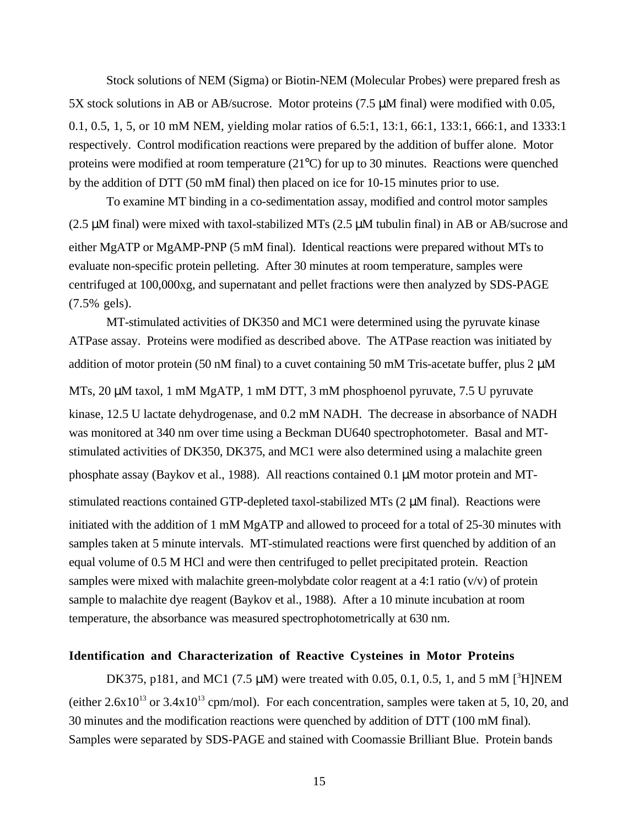Stock solutions of NEM (Sigma) or Biotin-NEM (Molecular Probes) were prepared fresh as 5X stock solutions in AB or AB/sucrose. Motor proteins (7.5 µM final) were modified with 0.05, 0.1, 0.5, 1, 5, or 10 mM NEM, yielding molar ratios of 6.5:1, 13:1, 66:1, 133:1, 666:1, and 1333:1 respectively. Control modification reactions were prepared by the addition of buffer alone. Motor proteins were modified at room temperature (21°C) for up to 30 minutes. Reactions were quenched by the addition of DTT (50 mM final) then placed on ice for 10-15 minutes prior to use.

To examine MT binding in a co-sedimentation assay, modified and control motor samples (2.5 µM final) were mixed with taxol-stabilized MTs (2.5 µM tubulin final) in AB or AB/sucrose and either MgATP or MgAMP-PNP (5 mM final). Identical reactions were prepared without MTs to evaluate non-specific protein pelleting. After 30 minutes at room temperature, samples were centrifuged at 100,000xg, and supernatant and pellet fractions were then analyzed by SDS-PAGE (7.5% gels).

MT-stimulated activities of DK350 and MC1 were determined using the pyruvate kinase ATPase assay. Proteins were modified as described above. The ATPase reaction was initiated by addition of motor protein (50 nM final) to a cuvet containing 50 mM Tris-acetate buffer, plus 2  $\mu$ M

MTs, 20  $\mu$ M taxol, 1 mM MgATP, 1 mM DTT, 3 mM phosphoenol pyruvate, 7.5 U pyruvate kinase, 12.5 U lactate dehydrogenase, and 0.2 mM NADH. The decrease in absorbance of NADH was monitored at 340 nm over time using a Beckman DU640 spectrophotometer. Basal and MTstimulated activities of DK350, DK375, and MC1 were also determined using a malachite green phosphate assay (Baykov et al., 1988). All reactions contained 0.1 µM motor protein and MT-

stimulated reactions contained GTP-depleted taxol-stabilized MTs (2 µM final). Reactions were initiated with the addition of 1 mM MgATP and allowed to proceed for a total of 25-30 minutes with samples taken at 5 minute intervals. MT-stimulated reactions were first quenched by addition of an equal volume of 0.5 M HCl and were then centrifuged to pellet precipitated protein. Reaction samples were mixed with malachite green-molybdate color reagent at a 4:1 ratio  $(v/v)$  of protein sample to malachite dye reagent (Baykov et al., 1988). After a 10 minute incubation at room temperature, the absorbance was measured spectrophotometrically at 630 nm.

## **Identification and Characterization of Reactive Cysteines in Motor Proteins**

DK375, p181, and MC1 (7.5  $\mu$ M) were treated with 0.05, 0.1, 0.5, 1, and 5 mM [<sup>3</sup>H]NEM (either  $2.6x10^{13}$  or  $3.4x10^{13}$  cpm/mol). For each concentration, samples were taken at 5, 10, 20, and 30 minutes and the modification reactions were quenched by addition of DTT (100 mM final). Samples were separated by SDS-PAGE and stained with Coomassie Brilliant Blue. Protein bands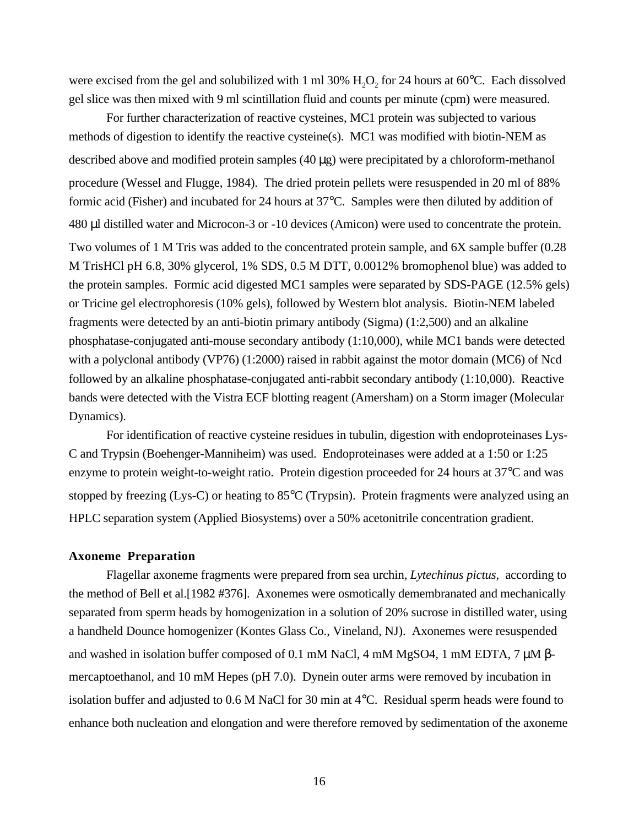were excised from the gel and solubilized with 1 ml 30%  $H<sub>2</sub>O<sub>2</sub>$  for 24 hours at 60 $^{\circ}$ C. Each dissolved gel slice was then mixed with 9 ml scintillation fluid and counts per minute (cpm) were measured.

For further characterization of reactive cysteines, MC1 protein was subjected to various methods of digestion to identify the reactive cysteine(s). MC1 was modified with biotin-NEM as described above and modified protein samples  $(40 \mu g)$  were precipitated by a chloroform-methanol procedure (Wessel and Flugge, 1984). The dried protein pellets were resuspended in 20 ml of 88% formic acid (Fisher) and incubated for 24 hours at 37°C. Samples were then diluted by addition of 480 µl distilled water and Microcon-3 or -10 devices (Amicon) were used to concentrate the protein. Two volumes of 1 M Tris was added to the concentrated protein sample, and 6X sample buffer (0.28 M TrisHCl pH 6.8, 30% glycerol, 1% SDS, 0.5 M DTT, 0.0012% bromophenol blue) was added to the protein samples. Formic acid digested MC1 samples were separated by SDS-PAGE (12.5% gels) or Tricine gel electrophoresis (10% gels), followed by Western blot analysis. Biotin-NEM labeled fragments were detected by an anti-biotin primary antibody (Sigma) (1:2,500) and an alkaline phosphatase-conjugated anti-mouse secondary antibody (1:10,000), while MC1 bands were detected with a polyclonal antibody (VP76) (1:2000) raised in rabbit against the motor domain (MC6) of Ncd followed by an alkaline phosphatase-conjugated anti-rabbit secondary antibody (1:10,000). Reactive bands were detected with the Vistra ECF blotting reagent (Amersham) on a Storm imager (Molecular Dynamics).

For identification of reactive cysteine residues in tubulin, digestion with endoproteinases Lys-C and Trypsin (Boehenger-Manniheim) was used. Endoproteinases were added at a 1:50 or 1:25 enzyme to protein weight-to-weight ratio. Protein digestion proceeded for 24 hours at 37°C and was stopped by freezing (Lys-C) or heating to 85°C (Trypsin). Protein fragments were analyzed using an HPLC separation system (Applied Biosystems) over a 50% acetonitrile concentration gradient.

## **Axoneme Preparation**

Flagellar axoneme fragments were prepared from sea urchin, *Lytechinus pictus,* according to the method of Bell et al.[1982 #376]. Axonemes were osmotically demembranated and mechanically separated from sperm heads by homogenization in a solution of 20% sucrose in distilled water, using a handheld Dounce homogenizer (Kontes Glass Co., Vineland, NJ). Axonemes were resuspended and washed in isolation buffer composed of 0.1 mM NaCl, 4 mM MgSO4, 1 mM EDTA, 7  $\mu$ M  $\beta$ mercaptoethanol, and 10 mM Hepes (pH 7.0). Dynein outer arms were removed by incubation in isolation buffer and adjusted to 0.6 M NaCl for 30 min at 4°C. Residual sperm heads were found to enhance both nucleation and elongation and were therefore removed by sedimentation of the axoneme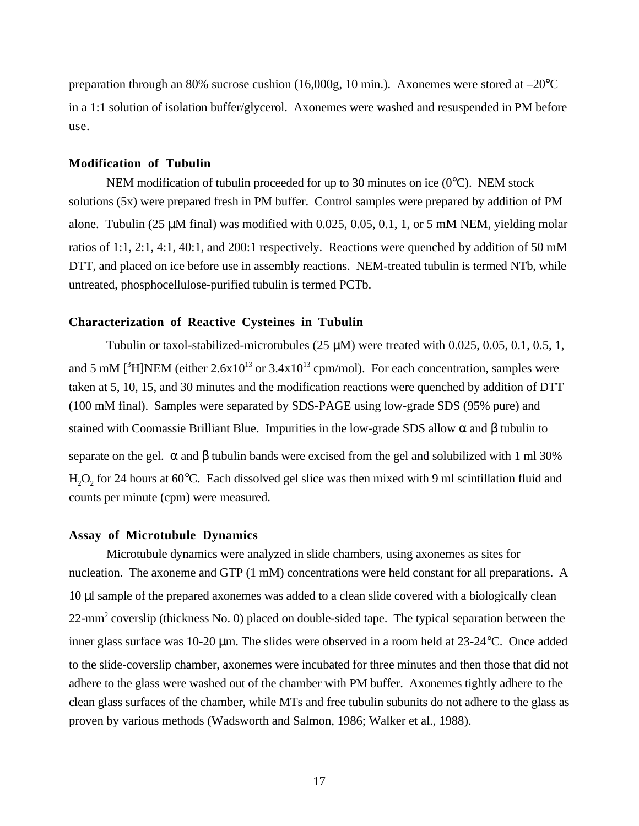preparation through an 80% sucrose cushion  $(16,000g, 10 \text{ min.})$ . Axonemes were stored at  $-20^{\circ}\text{C}$ in a 1:1 solution of isolation buffer/glycerol. Axonemes were washed and resuspended in PM before use.

### **Modification of Tubulin**

NEM modification of tubulin proceeded for up to 30 minutes on ice (0°C). NEM stock solutions (5x) were prepared fresh in PM buffer. Control samples were prepared by addition of PM alone. Tubulin (25  $\mu$ M final) was modified with 0.025, 0.05, 0.1, 1, or 5 mM NEM, yielding molar ratios of 1:1, 2:1, 4:1, 40:1, and 200:1 respectively. Reactions were quenched by addition of 50 mM DTT, and placed on ice before use in assembly reactions. NEM-treated tubulin is termed NTb, while untreated, phosphocellulose-purified tubulin is termed PCTb.

## **Characterization of Reactive Cysteines in Tubulin**

Tubulin or taxol-stabilized-microtubules  $(25 \mu M)$  were treated with 0.025, 0.05, 0.1, 0.5, 1, and 5 mM  $[^{3}H]$ NEM (either 2.6x10<sup>13</sup> or 3.4x10<sup>13</sup> cpm/mol). For each concentration, samples were taken at 5, 10, 15, and 30 minutes and the modification reactions were quenched by addition of DTT (100 mM final). Samples were separated by SDS-PAGE using low-grade SDS (95% pure) and stained with Coomassie Brilliant Blue. Impurities in the low-grade SDS allow  $\alpha$  and  $\beta$  tubulin to separate on the gel.  $\alpha$  and  $\beta$  tubulin bands were excised from the gel and solubilized with 1 ml 30%  $H_2O_2$  for 24 hours at 60 $^{\circ}$ C. Each dissolved gel slice was then mixed with 9 ml scintillation fluid and counts per minute (cpm) were measured.

#### **Assay of Microtubule Dynamics**

Microtubule dynamics were analyzed in slide chambers, using axonemes as sites for nucleation. The axoneme and GTP (1 mM) concentrations were held constant for all preparations. A 10 µl sample of the prepared axonemes was added to a clean slide covered with a biologically clean 22-mm<sup>2</sup> coverslip (thickness No. 0) placed on double-sided tape. The typical separation between the inner glass surface was 10-20 µm. The slides were observed in a room held at 23-24°C. Once added to the slide-coverslip chamber, axonemes were incubated for three minutes and then those that did not adhere to the glass were washed out of the chamber with PM buffer. Axonemes tightly adhere to the clean glass surfaces of the chamber, while MTs and free tubulin subunits do not adhere to the glass as proven by various methods (Wadsworth and Salmon, 1986; Walker et al., 1988).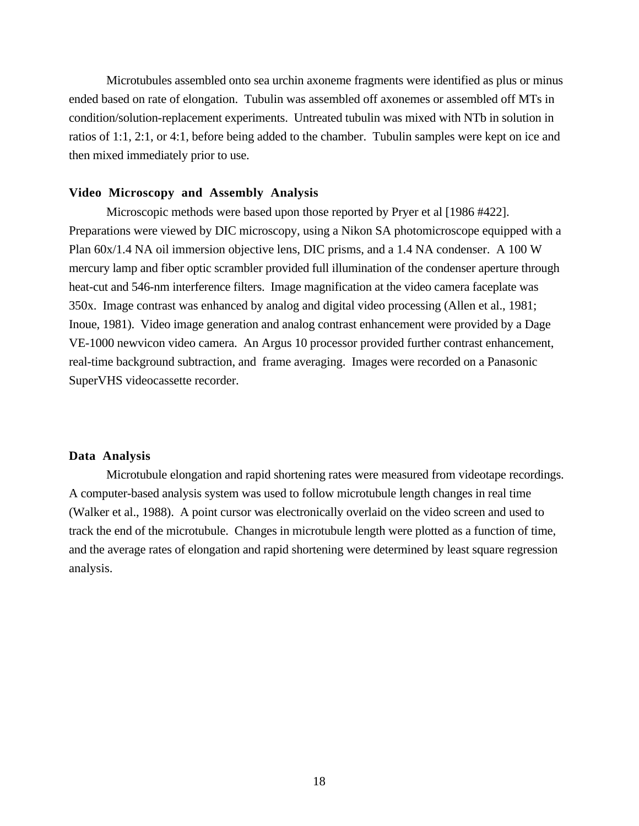Microtubules assembled onto sea urchin axoneme fragments were identified as plus or minus ended based on rate of elongation. Tubulin was assembled off axonemes or assembled off MTs in condition/solution-replacement experiments. Untreated tubulin was mixed with NTb in solution in ratios of 1:1, 2:1, or 4:1, before being added to the chamber. Tubulin samples were kept on ice and then mixed immediately prior to use.

## **Video Microscopy and Assembly Analysis**

Microscopic methods were based upon those reported by Pryer et al [1986 #422]. Preparations were viewed by DIC microscopy, using a Nikon SA photomicroscope equipped with a Plan 60x/1.4 NA oil immersion objective lens, DIC prisms, and a 1.4 NA condenser. A 100 W mercury lamp and fiber optic scrambler provided full illumination of the condenser aperture through heat-cut and 546-nm interference filters. Image magnification at the video camera faceplate was 350x. Image contrast was enhanced by analog and digital video processing (Allen et al., 1981; Inoue, 1981). Video image generation and analog contrast enhancement were provided by a Dage VE-1000 newvicon video camera. An Argus 10 processor provided further contrast enhancement, real-time background subtraction, and frame averaging. Images were recorded on a Panasonic SuperVHS videocassette recorder.

## **Data Analysis**

Microtubule elongation and rapid shortening rates were measured from videotape recordings. A computer-based analysis system was used to follow microtubule length changes in real time (Walker et al., 1988). A point cursor was electronically overlaid on the video screen and used to track the end of the microtubule. Changes in microtubule length were plotted as a function of time, and the average rates of elongation and rapid shortening were determined by least square regression analysis.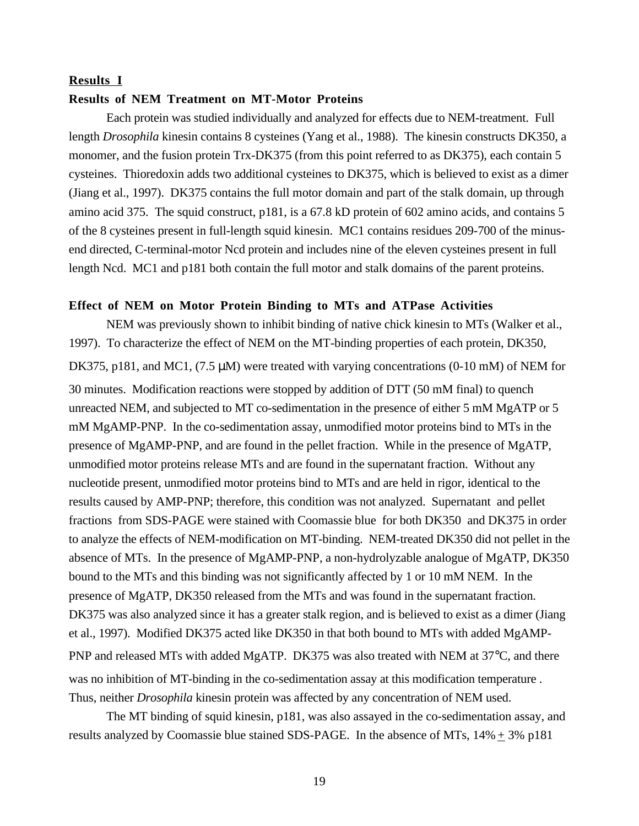## **Results I**

## **Results of NEM Treatment on MT-Motor Proteins**

Each protein was studied individually and analyzed for effects due to NEM-treatment. Full length *Drosophila* kinesin contains 8 cysteines (Yang et al., 1988). The kinesin constructs DK350, a monomer, and the fusion protein Trx-DK375 (from this point referred to as DK375), each contain 5 cysteines. Thioredoxin adds two additional cysteines to DK375, which is believed to exist as a dimer (Jiang et al., 1997). DK375 contains the full motor domain and part of the stalk domain, up through amino acid 375. The squid construct, p181, is a 67.8 kD protein of 602 amino acids, and contains 5 of the 8 cysteines present in full-length squid kinesin. MC1 contains residues 209-700 of the minusend directed, C-terminal-motor Ncd protein and includes nine of the eleven cysteines present in full length Ncd. MC1 and p181 both contain the full motor and stalk domains of the parent proteins.

## **Effect of NEM on Motor Protein Binding to MTs and ATPase Activities**

NEM was previously shown to inhibit binding of native chick kinesin to MTs (Walker et al., 1997). To characterize the effect of NEM on the MT-binding properties of each protein, DK350, DK375, p181, and MC1, (7.5  $\mu$ M) were treated with varying concentrations (0-10 mM) of NEM for 30 minutes. Modification reactions were stopped by addition of DTT (50 mM final) to quench unreacted NEM, and subjected to MT co-sedimentation in the presence of either 5 mM MgATP or 5 mM MgAMP-PNP. In the co-sedimentation assay, unmodified motor proteins bind to MTs in the presence of MgAMP-PNP, and are found in the pellet fraction. While in the presence of MgATP, unmodified motor proteins release MTs and are found in the supernatant fraction. Without any nucleotide present, unmodified motor proteins bind to MTs and are held in rigor, identical to the results caused by AMP-PNP; therefore, this condition was not analyzed. Supernatant and pellet fractions from SDS-PAGE were stained with Coomassie blue for both DK350 and DK375 in order to analyze the effects of NEM-modification on MT-binding. NEM-treated DK350 did not pellet in the absence of MTs. In the presence of MgAMP-PNP, a non-hydrolyzable analogue of MgATP, DK350 bound to the MTs and this binding was not significantly affected by 1 or 10 mM NEM. In the presence of MgATP, DK350 released from the MTs and was found in the supernatant fraction. DK375 was also analyzed since it has a greater stalk region, and is believed to exist as a dimer (Jiang et al., 1997). Modified DK375 acted like DK350 in that both bound to MTs with added MgAMP-PNP and released MTs with added MgATP. DK375 was also treated with NEM at 37°C, and there was no inhibition of MT-binding in the co-sedimentation assay at this modification temperature . Thus, neither *Drosophila* kinesin protein was affected by any concentration of NEM used.

The MT binding of squid kinesin, p181, was also assayed in the co-sedimentation assay, and results analyzed by Coomassie blue stained SDS-PAGE. In the absence of MTs,  $14\% \pm 3\%$  p181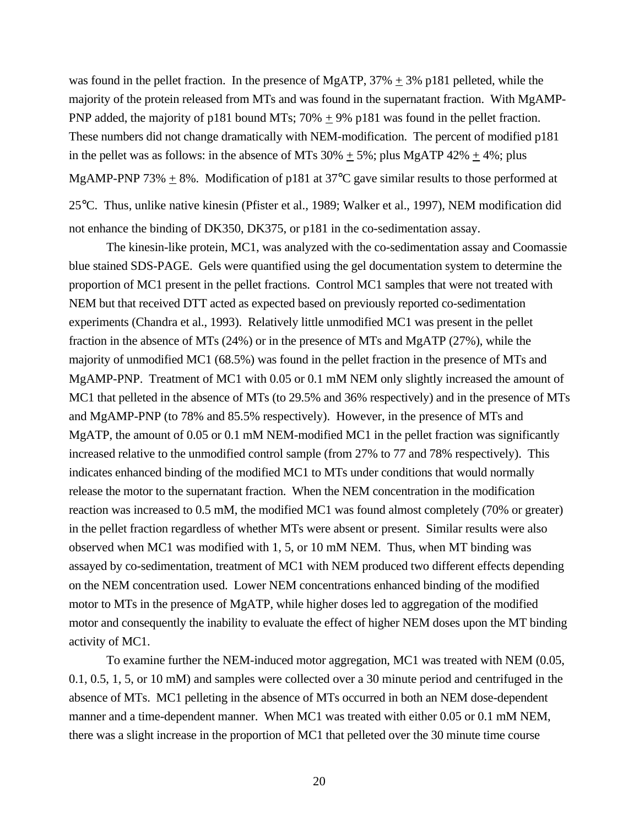was found in the pellet fraction. In the presence of MgATP,  $37\% \pm 3\%$  p181 pelleted, while the majority of the protein released from MTs and was found in the supernatant fraction. With MgAMP-PNP added, the majority of p181 bound MTs; 70%  $\pm$  9% p181 was found in the pellet fraction. These numbers did not change dramatically with NEM-modification. The percent of modified p181 in the pellet was as follows: in the absence of MTs  $30\% \pm 5\%$ ; plus MgATP  $42\% \pm 4\%$ ; plus MgAMP-PNP 73% + 8%. Modification of p181 at 37 $^{\circ}$ C gave similar results to those performed at 25°C. Thus, unlike native kinesin (Pfister et al., 1989; Walker et al., 1997), NEM modification did

not enhance the binding of DK350, DK375, or p181 in the co-sedimentation assay.

The kinesin-like protein, MC1, was analyzed with the co-sedimentation assay and Coomassie blue stained SDS-PAGE. Gels were quantified using the gel documentation system to determine the proportion of MC1 present in the pellet fractions. Control MC1 samples that were not treated with NEM but that received DTT acted as expected based on previously reported co-sedimentation experiments (Chandra et al., 1993). Relatively little unmodified MC1 was present in the pellet fraction in the absence of MTs (24%) or in the presence of MTs and MgATP (27%), while the majority of unmodified MC1 (68.5%) was found in the pellet fraction in the presence of MTs and MgAMP-PNP. Treatment of MC1 with 0.05 or 0.1 mM NEM only slightly increased the amount of MC1 that pelleted in the absence of MTs (to 29.5% and 36% respectively) and in the presence of MTs and MgAMP-PNP (to 78% and 85.5% respectively). However, in the presence of MTs and MgATP, the amount of 0.05 or 0.1 mM NEM-modified MC1 in the pellet fraction was significantly increased relative to the unmodified control sample (from 27% to 77 and 78% respectively). This indicates enhanced binding of the modified MC1 to MTs under conditions that would normally release the motor to the supernatant fraction. When the NEM concentration in the modification reaction was increased to 0.5 mM, the modified MC1 was found almost completely (70% or greater) in the pellet fraction regardless of whether MTs were absent or present. Similar results were also observed when MC1 was modified with 1, 5, or 10 mM NEM. Thus, when MT binding was assayed by co-sedimentation, treatment of MC1 with NEM produced two different effects depending on the NEM concentration used. Lower NEM concentrations enhanced binding of the modified motor to MTs in the presence of MgATP, while higher doses led to aggregation of the modified motor and consequently the inability to evaluate the effect of higher NEM doses upon the MT binding activity of MC1.

To examine further the NEM-induced motor aggregation, MC1 was treated with NEM (0.05, 0.1, 0.5, 1, 5, or 10 mM) and samples were collected over a 30 minute period and centrifuged in the absence of MTs. MC1 pelleting in the absence of MTs occurred in both an NEM dose-dependent manner and a time-dependent manner. When MC1 was treated with either 0.05 or 0.1 mM NEM, there was a slight increase in the proportion of MC1 that pelleted over the 30 minute time course

20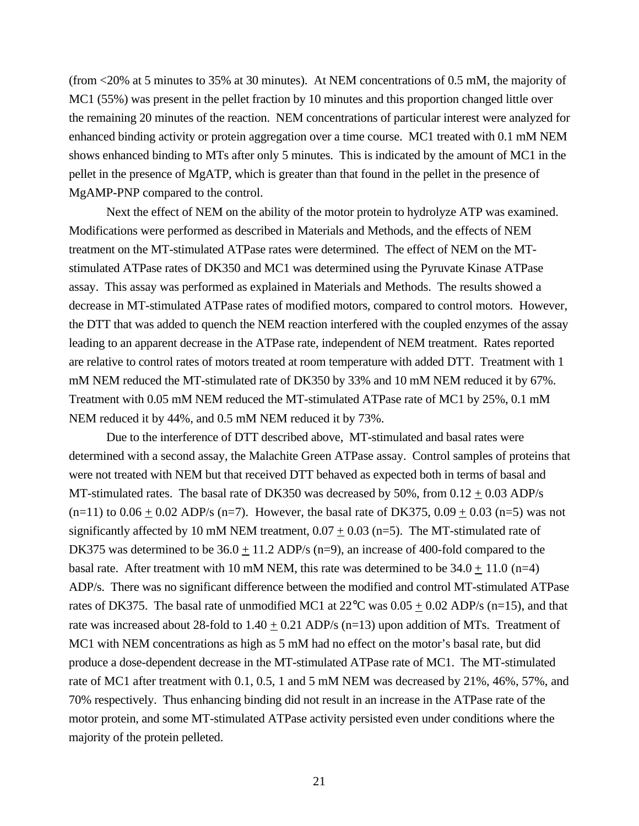(from <20% at 5 minutes to 35% at 30 minutes). At NEM concentrations of 0.5 mM, the majority of MC1 (55%) was present in the pellet fraction by 10 minutes and this proportion changed little over the remaining 20 minutes of the reaction. NEM concentrations of particular interest were analyzed for enhanced binding activity or protein aggregation over a time course. MC1 treated with 0.1 mM NEM shows enhanced binding to MTs after only 5 minutes. This is indicated by the amount of MC1 in the pellet in the presence of MgATP, which is greater than that found in the pellet in the presence of MgAMP-PNP compared to the control.

Next the effect of NEM on the ability of the motor protein to hydrolyze ATP was examined. Modifications were performed as described in Materials and Methods, and the effects of NEM treatment on the MT-stimulated ATPase rates were determined. The effect of NEM on the MTstimulated ATPase rates of DK350 and MC1 was determined using the Pyruvate Kinase ATPase assay. This assay was performed as explained in Materials and Methods. The results showed a decrease in MT-stimulated ATPase rates of modified motors, compared to control motors. However, the DTT that was added to quench the NEM reaction interfered with the coupled enzymes of the assay leading to an apparent decrease in the ATPase rate, independent of NEM treatment. Rates reported are relative to control rates of motors treated at room temperature with added DTT. Treatment with 1 mM NEM reduced the MT-stimulated rate of DK350 by 33% and 10 mM NEM reduced it by 67%. Treatment with 0.05 mM NEM reduced the MT-stimulated ATPase rate of MC1 by 25%, 0.1 mM NEM reduced it by 44%, and 0.5 mM NEM reduced it by 73%.

Due to the interference of DTT described above, MT-stimulated and basal rates were determined with a second assay, the Malachite Green ATPase assay. Control samples of proteins that were not treated with NEM but that received DTT behaved as expected both in terms of basal and MT-stimulated rates. The basal rate of DK350 was decreased by 50%, from  $0.12 \pm 0.03$  ADP/s  $(n=11)$  to  $0.06 \pm 0.02$  ADP/s (n=7). However, the basal rate of DK375, 0.09  $\pm$  0.03 (n=5) was not significantly affected by 10 mM NEM treatment,  $0.07 \pm 0.03$  (n=5). The MT-stimulated rate of DK375 was determined to be  $36.0 \pm 11.2$  ADP/s (n=9), an increase of 400-fold compared to the basal rate. After treatment with 10 mM NEM, this rate was determined to be  $34.0 \pm 11.0$  (n=4) ADP/s. There was no significant difference between the modified and control MT-stimulated ATPase rates of DK375. The basal rate of unmodified MC1 at  $22^{\circ}$ C was  $0.05 \pm 0.02$  ADP/s (n=15), and that rate was increased about 28-fold to  $1.40 \pm 0.21$  ADP/s (n=13) upon addition of MTs. Treatment of MC1 with NEM concentrations as high as 5 mM had no effect on the motor's basal rate, but did produce a dose-dependent decrease in the MT-stimulated ATPase rate of MC1. The MT-stimulated rate of MC1 after treatment with 0.1, 0.5, 1 and 5 mM NEM was decreased by 21%, 46%, 57%, and 70% respectively. Thus enhancing binding did not result in an increase in the ATPase rate of the motor protein, and some MT-stimulated ATPase activity persisted even under conditions where the majority of the protein pelleted.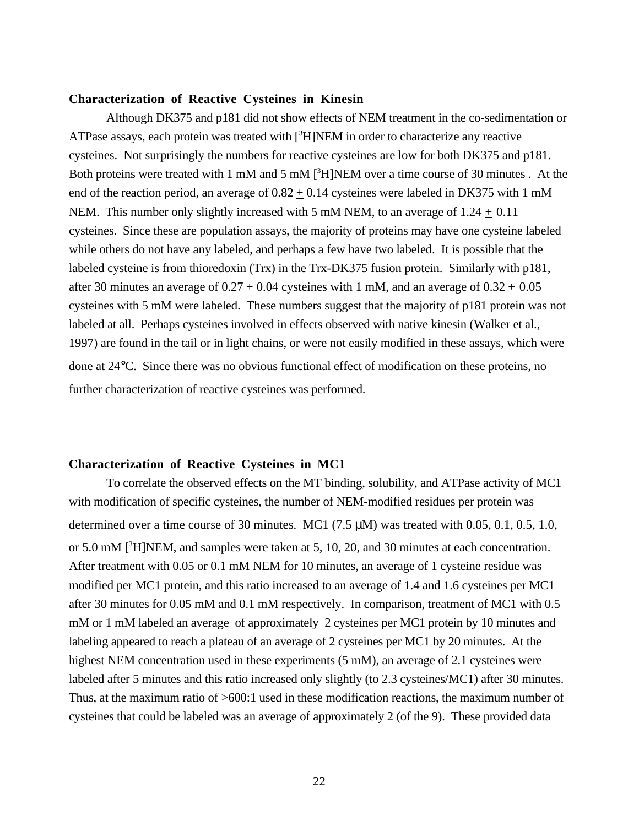#### **Characterization of Reactive Cysteines in Kinesin**

Although DK375 and p181 did not show effects of NEM treatment in the co-sedimentation or ATPase assays, each protein was treated with [<sup>3</sup>H]NEM in order to characterize any reactive cysteines. Not surprisingly the numbers for reactive cysteines are low for both DK375 and p181. Both proteins were treated with 1 mM and 5 mM [<sup>3</sup>H]NEM over a time course of 30 minutes. At the end of the reaction period, an average of  $0.82 \pm 0.14$  cysteines were labeled in DK375 with 1 mM NEM. This number only slightly increased with 5 mM NEM, to an average of  $1.24 \pm 0.11$ cysteines. Since these are population assays, the majority of proteins may have one cysteine labeled while others do not have any labeled, and perhaps a few have two labeled. It is possible that the labeled cysteine is from thioredoxin (Trx) in the Trx-DK375 fusion protein. Similarly with p181, after 30 minutes an average of  $0.27 \pm 0.04$  cysteines with 1 mM, and an average of  $0.32 \pm 0.05$ cysteines with 5 mM were labeled. These numbers suggest that the majority of p181 protein was not labeled at all. Perhaps cysteines involved in effects observed with native kinesin (Walker et al., 1997) are found in the tail or in light chains, or were not easily modified in these assays, which were done at 24°C. Since there was no obvious functional effect of modification on these proteins, no further characterization of reactive cysteines was performed.

## **Characterization of Reactive Cysteines in MC1**

To correlate the observed effects on the MT binding, solubility, and ATPase activity of MC1 with modification of specific cysteines, the number of NEM-modified residues per protein was determined over a time course of 30 minutes. MC1 (7.5  $\mu$ M) was treated with 0.05, 0.1, 0.5, 1.0, or 5.0 mM  $[3H]NEM$ , and samples were taken at 5, 10, 20, and 30 minutes at each concentration. After treatment with 0.05 or 0.1 mM NEM for 10 minutes, an average of 1 cysteine residue was modified per MC1 protein, and this ratio increased to an average of 1.4 and 1.6 cysteines per MC1 after 30 minutes for 0.05 mM and 0.1 mM respectively. In comparison, treatment of MC1 with 0.5 mM or 1 mM labeled an average of approximately 2 cysteines per MC1 protein by 10 minutes and labeling appeared to reach a plateau of an average of 2 cysteines per MC1 by 20 minutes. At the highest NEM concentration used in these experiments (5 mM), an average of 2.1 cysteines were labeled after 5 minutes and this ratio increased only slightly (to 2.3 cysteines/MC1) after 30 minutes. Thus, at the maximum ratio of >600:1 used in these modification reactions, the maximum number of cysteines that could be labeled was an average of approximately 2 (of the 9). These provided data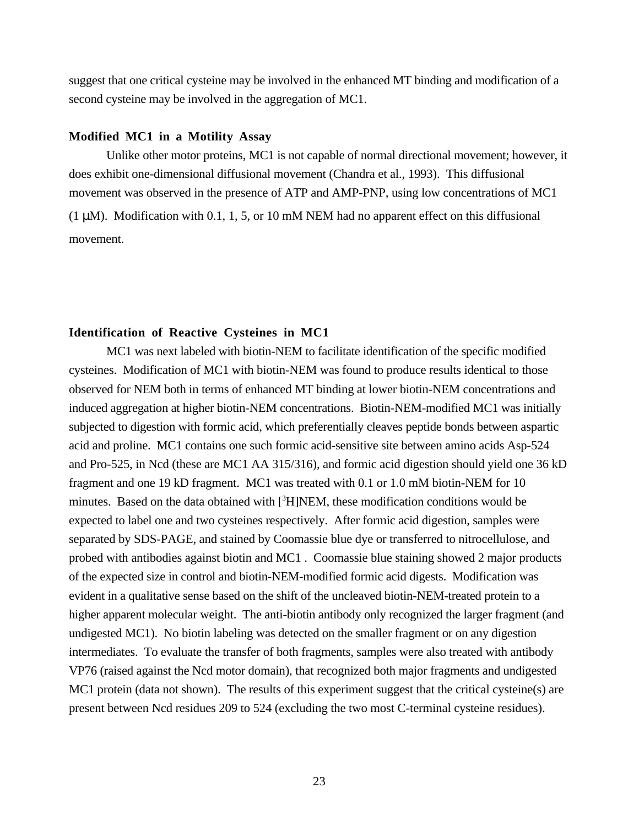suggest that one critical cysteine may be involved in the enhanced MT binding and modification of a second cysteine may be involved in the aggregation of MC1.

## **Modified MC1 in a Motility Assay**

Unlike other motor proteins, MC1 is not capable of normal directional movement; however, it does exhibit one-dimensional diffusional movement (Chandra et al., 1993). This diffusional movement was observed in the presence of ATP and AMP-PNP, using low concentrations of MC1 (1  $\mu$ M). Modification with 0.1, 1, 5, or 10 mM NEM had no apparent effect on this diffusional movement.

## **Identification of Reactive Cysteines in MC1**

MC1 was next labeled with biotin-NEM to facilitate identification of the specific modified cysteines. Modification of MC1 with biotin-NEM was found to produce results identical to those observed for NEM both in terms of enhanced MT binding at lower biotin-NEM concentrations and induced aggregation at higher biotin-NEM concentrations. Biotin-NEM-modified MC1 was initially subjected to digestion with formic acid, which preferentially cleaves peptide bonds between aspartic acid and proline. MC1 contains one such formic acid-sensitive site between amino acids Asp-524 and Pro-525, in Ncd (these are MC1 AA 315/316), and formic acid digestion should yield one 36 kD fragment and one 19 kD fragment. MC1 was treated with 0.1 or 1.0 mM biotin-NEM for 10 minutes. Based on the data obtained with [<sup>3</sup>H]NEM, these modification conditions would be expected to label one and two cysteines respectively. After formic acid digestion, samples were separated by SDS-PAGE, and stained by Coomassie blue dye or transferred to nitrocellulose, and probed with antibodies against biotin and MC1 . Coomassie blue staining showed 2 major products of the expected size in control and biotin-NEM-modified formic acid digests. Modification was evident in a qualitative sense based on the shift of the uncleaved biotin-NEM-treated protein to a higher apparent molecular weight. The anti-biotin antibody only recognized the larger fragment (and undigested MC1). No biotin labeling was detected on the smaller fragment or on any digestion intermediates. To evaluate the transfer of both fragments, samples were also treated with antibody VP76 (raised against the Ncd motor domain), that recognized both major fragments and undigested MC1 protein (data not shown). The results of this experiment suggest that the critical cysteine(s) are present between Ncd residues 209 to 524 (excluding the two most C-terminal cysteine residues).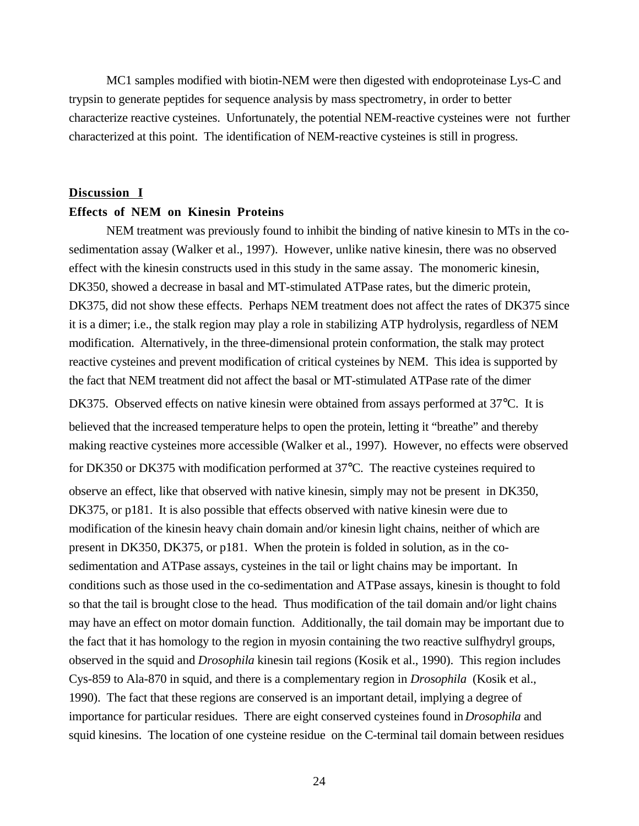MC1 samples modified with biotin-NEM were then digested with endoproteinase Lys-C and trypsin to generate peptides for sequence analysis by mass spectrometry, in order to better characterize reactive cysteines. Unfortunately, the potential NEM-reactive cysteines were not further characterized at this point. The identification of NEM-reactive cysteines is still in progress.

#### **Discussion I**

## **Effects of NEM on Kinesin Proteins**

NEM treatment was previously found to inhibit the binding of native kinesin to MTs in the cosedimentation assay (Walker et al., 1997). However, unlike native kinesin, there was no observed effect with the kinesin constructs used in this study in the same assay. The monomeric kinesin, DK350, showed a decrease in basal and MT-stimulated ATPase rates, but the dimeric protein, DK375, did not show these effects. Perhaps NEM treatment does not affect the rates of DK375 since it is a dimer; i.e., the stalk region may play a role in stabilizing ATP hydrolysis, regardless of NEM modification. Alternatively, in the three-dimensional protein conformation, the stalk may protect reactive cysteines and prevent modification of critical cysteines by NEM. This idea is supported by the fact that NEM treatment did not affect the basal or MT-stimulated ATPase rate of the dimer DK375. Observed effects on native kinesin were obtained from assays performed at 37°C. It is believed that the increased temperature helps to open the protein, letting it "breathe" and thereby making reactive cysteines more accessible (Walker et al., 1997). However, no effects were observed for DK350 or DK375 with modification performed at 37°C. The reactive cysteines required to observe an effect, like that observed with native kinesin, simply may not be present in DK350, DK375, or p181. It is also possible that effects observed with native kinesin were due to modification of the kinesin heavy chain domain and/or kinesin light chains, neither of which are present in DK350, DK375, or p181. When the protein is folded in solution, as in the cosedimentation and ATPase assays, cysteines in the tail or light chains may be important. In conditions such as those used in the co-sedimentation and ATPase assays, kinesin is thought to fold so that the tail is brought close to the head. Thus modification of the tail domain and/or light chains may have an effect on motor domain function. Additionally, the tail domain may be important due to the fact that it has homology to the region in myosin containing the two reactive sulfhydryl groups, observed in the squid and *Drosophila* kinesin tail regions (Kosik et al., 1990). This region includes Cys-859 to Ala-870 in squid, and there is a complementary region in *Drosophila* (Kosik et al., 1990). The fact that these regions are conserved is an important detail, implying a degree of importance for particular residues. There are eight conserved cysteines found in *Drosophila* and squid kinesins. The location of one cysteine residue on the C-terminal tail domain between residues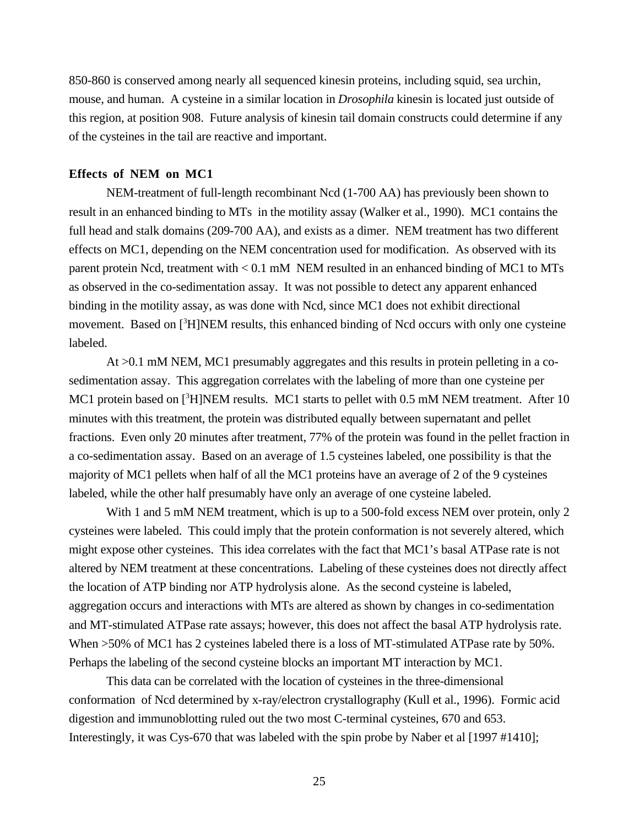850-860 is conserved among nearly all sequenced kinesin proteins, including squid, sea urchin, mouse, and human. A cysteine in a similar location in *Drosophila* kinesin is located just outside of this region, at position 908.Future analysis of kinesin tail domain constructs could determine if any of the cysteines in the tail are reactive and important.

## **Effects of NEM on MC1**

NEM-treatment of full-length recombinant Ncd (1-700 AA) has previously been shown to result in an enhanced binding to MTs in the motility assay (Walker et al., 1990). MC1 contains the full head and stalk domains (209-700 AA), and exists as a dimer. NEM treatment has two different effects on MC1, depending on the NEM concentration used for modification. As observed with its parent protein Ncd, treatment with < 0.1 mM NEM resulted in an enhanced binding of MC1 to MTs as observed in the co-sedimentation assay. It was not possible to detect any apparent enhanced binding in the motility assay, as was done with Ncd, since MC1 does not exhibit directional movement. Based on [<sup>3</sup>H]NEM results, this enhanced binding of Ncd occurs with only one cysteine labeled.

At >0.1 mM NEM, MC1 presumably aggregates and this results in protein pelleting in a cosedimentation assay. This aggregation correlates with the labeling of more than one cysteine per MC1 protein based on [<sup>3</sup>H]NEM results. MC1 starts to pellet with 0.5 mM NEM treatment. After 10 minutes with this treatment, the protein was distributed equally between supernatant and pellet fractions. Even only 20 minutes after treatment, 77% of the protein was found in the pellet fraction in a co-sedimentation assay. Based on an average of 1.5 cysteines labeled, one possibility is that the majority of MC1 pellets when half of all the MC1 proteins have an average of 2 of the 9 cysteines labeled, while the other half presumably have only an average of one cysteine labeled.

With 1 and 5 mM NEM treatment, which is up to a 500-fold excess NEM over protein, only 2 cysteines were labeled. This could imply that the protein conformation is not severely altered, which might expose other cysteines. This idea correlates with the fact that MC1's basal ATPase rate is not altered by NEM treatment at these concentrations. Labeling of these cysteines does not directly affect the location of ATP binding nor ATP hydrolysis alone. As the second cysteine is labeled, aggregation occurs and interactions with MTs are altered as shown by changes in co-sedimentation and MT-stimulated ATPase rate assays; however, this does not affect the basal ATP hydrolysis rate. When  $>50\%$  of MC1 has 2 cysteines labeled there is a loss of MT-stimulated ATPase rate by 50%. Perhaps the labeling of the second cysteine blocks an important MT interaction by MC1.

This data can be correlated with the location of cysteines in the three-dimensional conformation of Ncd determined by x-ray/electron crystallography (Kull et al., 1996). Formic acid digestion and immunoblotting ruled out the two most C-terminal cysteines, 670 and 653. Interestingly, it was Cys-670 that was labeled with the spin probe by Naber et al [1997 #1410];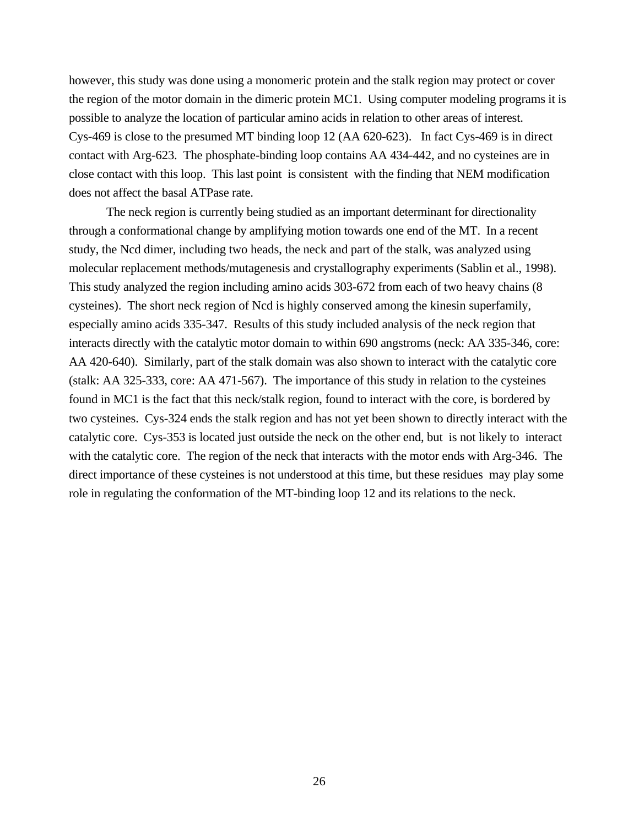however, this study was done using a monomeric protein and the stalk region may protect or cover the region of the motor domain in the dimeric protein MC1. Using computer modeling programs it is possible to analyze the location of particular amino acids in relation to other areas of interest. Cys-469 is close to the presumed MT binding loop 12 (AA 620-623). In fact Cys-469 is in direct contact with Arg-623. The phosphate-binding loop contains AA 434-442, and no cysteines are in close contact with this loop. This last point is consistent with the finding that NEM modification does not affect the basal ATPase rate.

The neck region is currently being studied as an important determinant for directionality through a conformational change by amplifying motion towards one end of the MT. In a recent study, the Ncd dimer, including two heads, the neck and part of the stalk, was analyzed using molecular replacement methods/mutagenesis and crystallography experiments (Sablin et al., 1998). This study analyzed the region including amino acids 303-672 from each of two heavy chains (8 cysteines). The short neck region of Ncd is highly conserved among the kinesin superfamily, especially amino acids 335-347. Results of this study included analysis of the neck region that interacts directly with the catalytic motor domain to within 690 angstroms (neck: AA 335-346, core: AA 420-640). Similarly, part of the stalk domain was also shown to interact with the catalytic core (stalk: AA 325-333, core: AA 471-567). The importance of this study in relation to the cysteines found in MC1 is the fact that this neck/stalk region, found to interact with the core, is bordered by two cysteines. Cys-324 ends the stalk region and has not yet been shown to directly interact with the catalytic core. Cys-353 is located just outside the neck on the other end, but is not likely to interact with the catalytic core. The region of the neck that interacts with the motor ends with Arg-346. The direct importance of these cysteines is not understood at this time, but these residues may play some role in regulating the conformation of the MT-binding loop 12 and its relations to the neck.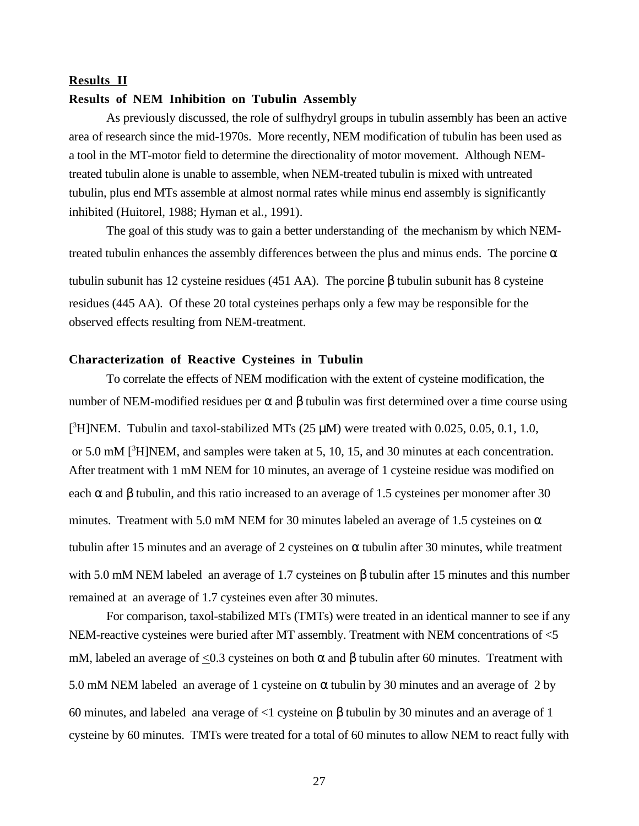## **Results II**

### **Results of NEM Inhibition on Tubulin Assembly**

As previously discussed, the role of sulfhydryl groups in tubulin assembly has been an active area of research since the mid-1970s. More recently, NEM modification of tubulin has been used as a tool in the MT-motor field to determine the directionality of motor movement. Although NEMtreated tubulin alone is unable to assemble, when NEM-treated tubulin is mixed with untreated tubulin, plus end MTs assemble at almost normal rates while minus end assembly is significantly inhibited (Huitorel, 1988; Hyman et al., 1991).

The goal of this study was to gain a better understanding of the mechanism by which NEMtreated tubulin enhances the assembly differences between the plus and minus ends. The porcine  $\alpha$ tubulin subunit has 12 cysteine residues (451 AA). The porcine β tubulin subunit has 8 cysteine residues (445 AA). Of these 20 total cysteines perhaps only a few may be responsible for the observed effects resulting from NEM-treatment.

## **Characterization of Reactive Cysteines in Tubulin**

To correlate the effects of NEM modification with the extent of cysteine modification, the number of NEM-modified residues per α and β tubulin was first determined over a time course using [<sup>3</sup>H]NEM. Tubulin and taxol-stabilized MTs (25  $\mu$ M) were treated with 0.025, 0.05, 0.1, 1.0, or 5.0 mM [<sup>3</sup>H]NEM, and samples were taken at 5, 10, 15, and 30 minutes at each concentration. After treatment with 1 mM NEM for 10 minutes, an average of 1 cysteine residue was modified on each  $\alpha$  and  $\beta$  tubulin, and this ratio increased to an average of 1.5 cysteines per monomer after 30 minutes. Treatment with 5.0 mM NEM for 30 minutes labeled an average of 1.5 cysteines on  $\alpha$ tubulin after 15 minutes and an average of 2 cysteines on α tubulin after 30 minutes, while treatment with 5.0 mM NEM labeled an average of 1.7 cysteines on β tubulin after 15 minutes and this number remained at an average of 1.7 cysteines even after 30 minutes.

For comparison, taxol-stabilized MTs (TMTs) were treated in an identical manner to see if any NEM-reactive cysteines were buried after MT assembly. Treatment with NEM concentrations of <5 mM, labeled an average of  $\leq$ 0.3 cysteines on both α and β tubulin after 60 minutes. Treatment with 5.0 mM NEM labeled an average of 1 cysteine on  $\alpha$  tubulin by 30 minutes and an average of 2 by 60 minutes, and labeled ana verage of <1 cysteine on β tubulin by 30 minutes and an average of 1 cysteine by 60 minutes. TMTs were treated for a total of 60 minutes to allow NEM to react fully with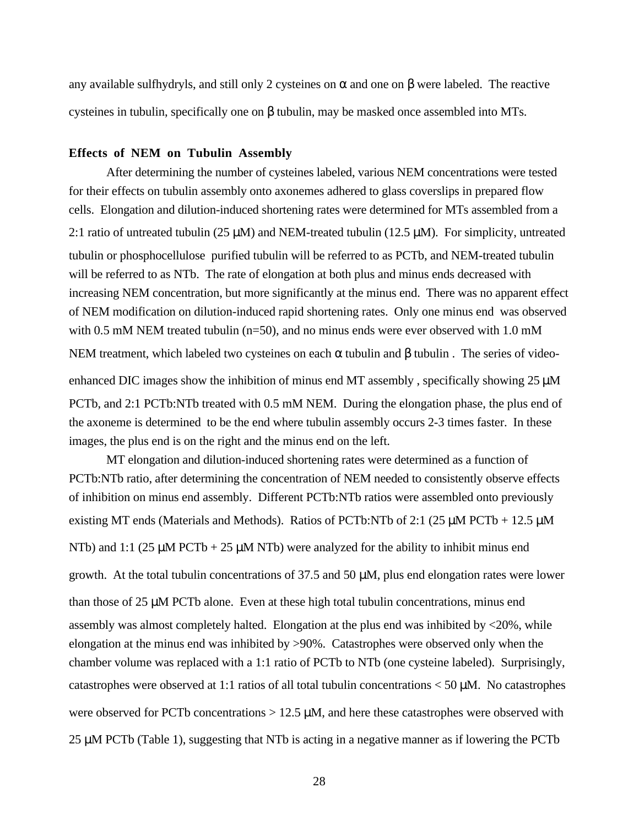any available sulfhydryls, and still only 2 cysteines on  $\alpha$  and one on  $\beta$  were labeled. The reactive cysteines in tubulin, specifically one on β tubulin, may be masked once assembled into MTs.

## **Effects of NEM on Tubulin Assembly**

After determining the number of cysteines labeled, various NEM concentrations were tested for their effects on tubulin assembly onto axonemes adhered to glass coverslips in prepared flow cells. Elongation and dilution-induced shortening rates were determined for MTs assembled from a 2:1 ratio of untreated tubulin (25  $\mu$ M) and NEM-treated tubulin (12.5  $\mu$ M). For simplicity, untreated tubulin or phosphocellulose purified tubulin will be referred to as PCTb, and NEM-treated tubulin will be referred to as NTb. The rate of elongation at both plus and minus ends decreased with increasing NEM concentration, but more significantly at the minus end. There was no apparent effect of NEM modification on dilution-induced rapid shortening rates. Only one minus end was observed with 0.5 mM NEM treated tubulin ( $n=50$ ), and no minus ends were ever observed with 1.0 mM NEM treatment, which labeled two cysteines on each  $\alpha$  tubulin and  $\beta$  tubulin. The series of video-

enhanced DIC images show the inhibition of minus end MT assembly, specifically showing 25  $\mu$ M PCTb, and 2:1 PCTb:NTb treated with 0.5 mM NEM. During the elongation phase, the plus end of the axoneme is determined to be the end where tubulin assembly occurs 2-3 times faster. In these images, the plus end is on the right and the minus end on the left.

MT elongation and dilution-induced shortening rates were determined as a function of PCTb:NTb ratio, after determining the concentration of NEM needed to consistently observe effects of inhibition on minus end assembly. Different PCTb:NTb ratios were assembled onto previously existing MT ends (Materials and Methods). Ratios of PCTb:NTb of 2:1 (25  $\mu$ M PCTb + 12.5  $\mu$ M NTb) and 1:1 (25  $\mu$ M PCTb + 25  $\mu$ M NTb) were analyzed for the ability to inhibit minus end growth. At the total tubulin concentrations of  $37.5$  and  $50 \mu$ M, plus end elongation rates were lower than those of 25 µM PCTb alone. Even at these high total tubulin concentrations, minus end assembly was almost completely halted. Elongation at the plus end was inhibited by <20%, while elongation at the minus end was inhibited by >90%. Catastrophes were observed only when the chamber volume was replaced with a 1:1 ratio of PCTb to NTb (one cysteine labeled). Surprisingly, catastrophes were observed at 1:1 ratios of all total tubulin concentrations  $<$  50  $\mu$ M. No catastrophes were observed for PCTb concentrations  $> 12.5 \mu M$ , and here these catastrophes were observed with 25 µM PCTb (Table 1), suggesting that NTb is acting in a negative manner as if lowering the PCTb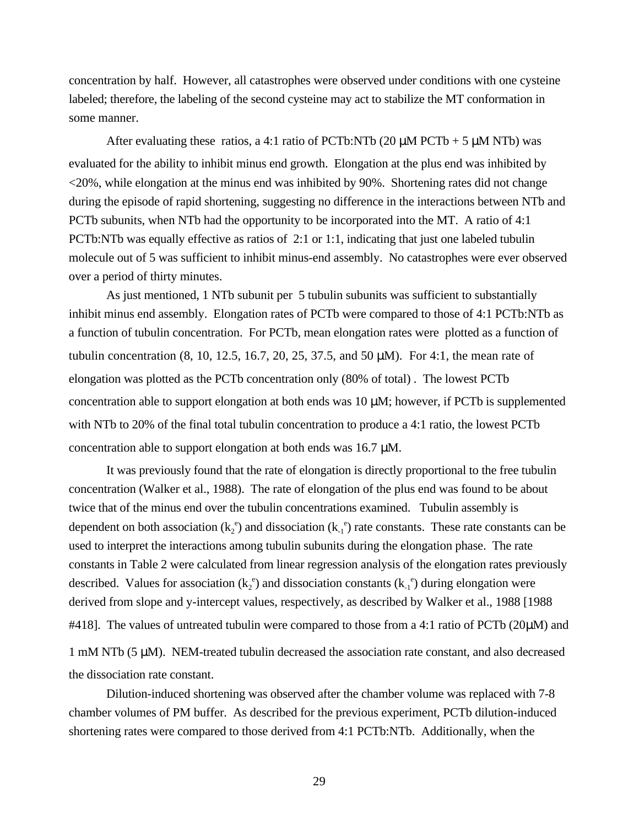concentration by half. However, all catastrophes were observed under conditions with one cysteine labeled; therefore, the labeling of the second cysteine may act to stabilize the MT conformation in some manner.

After evaluating these ratios, a 4:1 ratio of PCTb:NTb (20  $\mu$ M PCTb + 5  $\mu$ M NTb) was evaluated for the ability to inhibit minus end growth. Elongation at the plus end was inhibited by <20%, while elongation at the minus end was inhibited by 90%. Shortening rates did not change during the episode of rapid shortening, suggesting no difference in the interactions between NTb and PCTb subunits, when NTb had the opportunity to be incorporated into the MT. A ratio of 4:1 PCTb:NTb was equally effective as ratios of 2:1 or 1:1, indicating that just one labeled tubulin molecule out of 5 was sufficient to inhibit minus-end assembly. No catastrophes were ever observed over a period of thirty minutes.

As just mentioned, 1 NTb subunit per 5 tubulin subunits was sufficient to substantially inhibit minus end assembly. Elongation rates of PCTb were compared to those of 4:1 PCTb:NTb as a function of tubulin concentration. For PCTb, mean elongation rates were plotted as a function of tubulin concentration (8, 10, 12.5, 16.7, 20, 25, 37.5, and 50 µM). For 4:1, the mean rate of elongation was plotted as the PCTb concentration only (80% of total) . The lowest PCTb concentration able to support elongation at both ends was 10 µM; however, if PCTb is supplemented with NTb to 20% of the final total tubulin concentration to produce a 4:1 ratio, the lowest PCTb concentration able to support elongation at both ends was 16.7 µM.

It was previously found that the rate of elongation is directly proportional to the free tubulin concentration (Walker et al., 1988). The rate of elongation of the plus end was found to be about twice that of the minus end over the tubulin concentrations examined. Tubulin assembly is dependent on both association  $(k_2^e)$  and dissociation  $(k_1^e)$  rate constants. These rate constants can be used to interpret the interactions among tubulin subunits during the elongation phase. The rate constants in Table 2 were calculated from linear regression analysis of the elongation rates previously described. Values for association ( $k_2$ <sup>e</sup>) and dissociation constants ( $k_1$ <sup>e</sup>) during elongation were derived from slope and y-intercept values, respectively, as described by Walker et al., 1988 [1988 #418]. The values of untreated tubulin were compared to those from a 4:1 ratio of PCTb (20µM) and 1 mM NTb (5 µM). NEM-treated tubulin decreased the association rate constant, and also decreased the dissociation rate constant.

Dilution-induced shortening was observed after the chamber volume was replaced with 7-8 chamber volumes of PM buffer. As described for the previous experiment, PCTb dilution-induced shortening rates were compared to those derived from 4:1 PCTb:NTb. Additionally, when the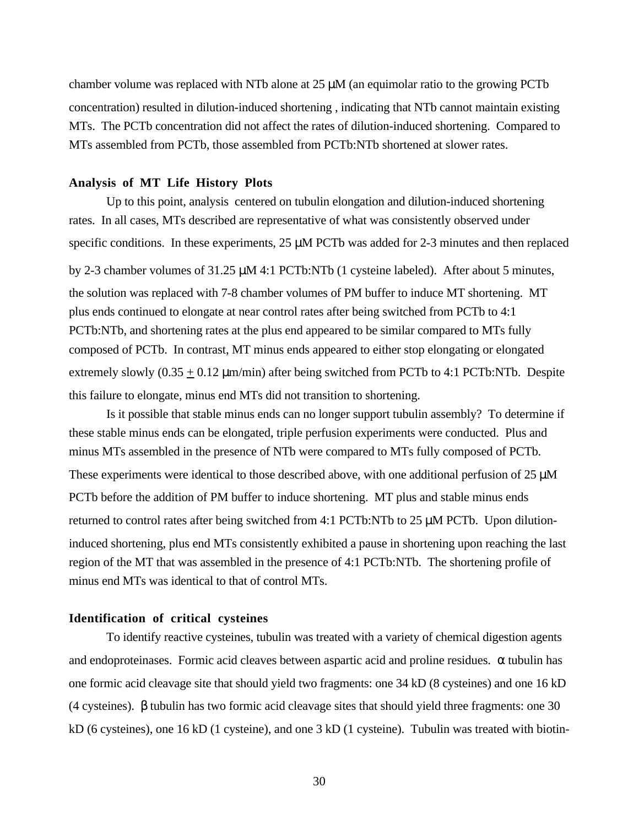chamber volume was replaced with NTb alone at  $25 \mu M$  (an equimolar ratio to the growing PCTb concentration) resulted in dilution-induced shortening , indicating that NTb cannot maintain existing MTs. The PCTb concentration did not affect the rates of dilution-induced shortening. Compared to MTs assembled from PCTb, those assembled from PCTb:NTb shortened at slower rates.

## **Analysis of MT Life History Plots**

Up to this point, analysis centered on tubulin elongation and dilution-induced shortening rates. In all cases, MTs described are representative of what was consistently observed under specific conditions. In these experiments,  $25 \mu M$  PCTb was added for 2-3 minutes and then replaced by 2-3 chamber volumes of 31.25 µM 4:1 PCTb:NTb (1 cysteine labeled). After about 5 minutes, the solution was replaced with 7-8 chamber volumes of PM buffer to induce MT shortening. MT plus ends continued to elongate at near control rates after being switched from PCTb to 4:1 PCTb:NTb, and shortening rates at the plus end appeared to be similar compared to MTs fully composed of PCTb. In contrast, MT minus ends appeared to either stop elongating or elongated extremely slowly  $(0.35 \pm 0.12 \,\mu\text{m/min})$  after being switched from PCTb to 4:1 PCTb:NTb. Despite this failure to elongate, minus end MTs did not transition to shortening.

Is it possible that stable minus ends can no longer support tubulin assembly? To determine if these stable minus ends can be elongated, triple perfusion experiments were conducted. Plus and minus MTs assembled in the presence of NTb were compared to MTs fully composed of PCTb. These experiments were identical to those described above, with one additional perfusion of  $25 \mu M$ PCTb before the addition of PM buffer to induce shortening. MT plus and stable minus ends returned to control rates after being switched from 4:1 PCTb:NTb to 25 µM PCTb. Upon dilutioninduced shortening, plus end MTs consistently exhibited a pause in shortening upon reaching the last region of the MT that was assembled in the presence of 4:1 PCTb:NTb. The shortening profile of minus end MTs was identical to that of control MTs.

## **Identification of critical cysteines**

To identify reactive cysteines, tubulin was treated with a variety of chemical digestion agents and endoproteinases. Formic acid cleaves between aspartic acid and proline residues.  $\alpha$  tubulin has one formic acid cleavage site that should yield two fragments: one 34 kD (8 cysteines) and one 16 kD (4 cysteines). β tubulin has two formic acid cleavage sites that should yield three fragments: one 30 kD (6 cysteines), one 16 kD (1 cysteine), and one 3 kD (1 cysteine). Tubulin was treated with biotin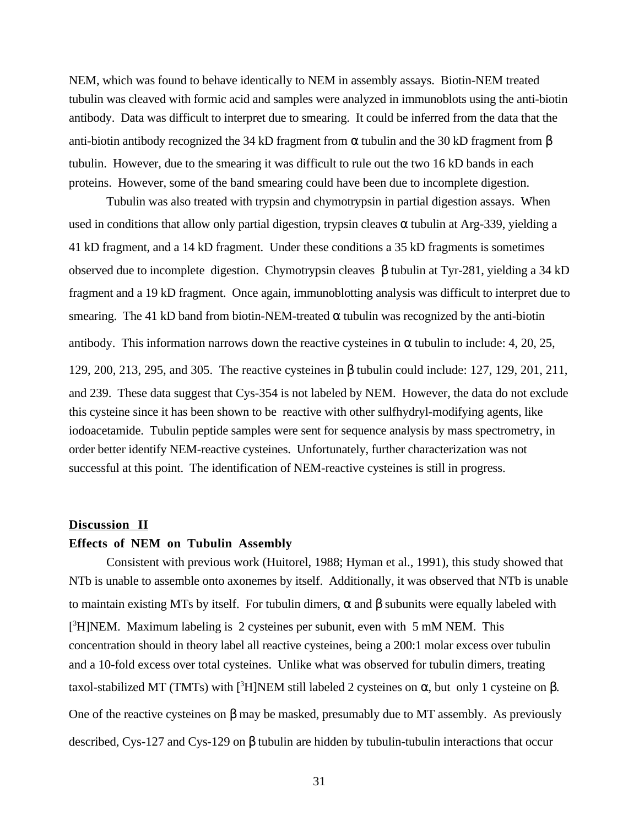NEM, which was found to behave identically to NEM in assembly assays. Biotin-NEM treated tubulin was cleaved with formic acid and samples were analyzed in immunoblots using the anti-biotin antibody. Data was difficult to interpret due to smearing. It could be inferred from the data that the anti-biotin antibody recognized the 34 kD fragment from  $\alpha$  tubulin and the 30 kD fragment from  $\beta$ tubulin. However, due to the smearing it was difficult to rule out the two 16 kD bands in each proteins. However, some of the band smearing could have been due to incomplete digestion.

Tubulin was also treated with trypsin and chymotrypsin in partial digestion assays. When used in conditions that allow only partial digestion, trypsin cleaves  $\alpha$  tubulin at Arg-339, yielding a 41 kD fragment, and a 14 kD fragment. Under these conditions a 35 kD fragments is sometimes observed due to incomplete digestion. Chymotrypsin cleaves β tubulin at Tyr-281, yielding a 34 kD fragment and a 19 kD fragment. Once again, immunoblotting analysis was difficult to interpret due to smearing. The 41 kD band from biotin-NEM-treated  $\alpha$  tubulin was recognized by the anti-biotin antibody. This information narrows down the reactive cysteines in  $\alpha$  tubulin to include: 4, 20, 25, 129, 200, 213, 295, and 305. The reactive cysteines in β tubulin could include: 127, 129, 201, 211, and 239. These data suggest that Cys-354 is not labeled by NEM. However, the data do not exclude this cysteine since it has been shown to be reactive with other sulfhydryl-modifying agents, like iodoacetamide. Tubulin peptide samples were sent for sequence analysis by mass spectrometry, in order better identify NEM-reactive cysteines. Unfortunately, further characterization was not successful at this point. The identification of NEM-reactive cysteines is still in progress.

#### **Discussion II**

#### **Effects of NEM on Tubulin Assembly**

Consistent with previous work (Huitorel, 1988; Hyman et al., 1991), this study showed that NTb is unable to assemble onto axonemes by itself. Additionally, it was observed that NTb is unable to maintain existing MTs by itself. For tubulin dimers,  $\alpha$  and  $\beta$  subunits were equally labeled with [<sup>3</sup>H]NEM. Maximum labeling is 2 cysteines per subunit, even with 5 mM NEM. This concentration should in theory label all reactive cysteines, being a 200:1 molar excess over tubulin and a 10-fold excess over total cysteines. Unlike what was observed for tubulin dimers, treating taxol-stabilized MT (TMTs) with [<sup>3</sup>H]NEM still labeled 2 cysteines on α, but only 1 cysteine on β. One of the reactive cysteines on β may be masked, presumably due to MT assembly. As previously described, Cys-127 and Cys-129 on β tubulin are hidden by tubulin-tubulin interactions that occur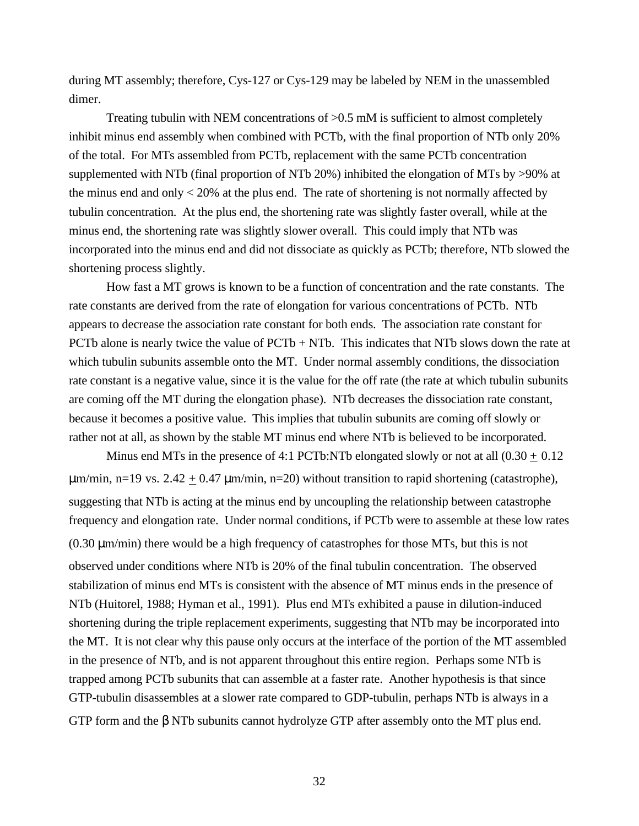during MT assembly; therefore, Cys-127 or Cys-129 may be labeled by NEM in the unassembled dimer.

Treating tubulin with NEM concentrations of >0.5 mM is sufficient to almost completely inhibit minus end assembly when combined with PCTb, with the final proportion of NTb only 20% of the total. For MTs assembled from PCTb, replacement with the same PCTb concentration supplemented with NTb (final proportion of NTb 20%) inhibited the elongation of MTs by >90% at the minus end and only  $<$  20% at the plus end. The rate of shortening is not normally affected by tubulin concentration. At the plus end, the shortening rate was slightly faster overall, while at the minus end, the shortening rate was slightly slower overall. This could imply that NTb was incorporated into the minus end and did not dissociate as quickly as PCTb; therefore, NTb slowed the shortening process slightly.

How fast a MT grows is known to be a function of concentration and the rate constants. The rate constants are derived from the rate of elongation for various concentrations of PCTb. NTb appears to decrease the association rate constant for both ends. The association rate constant for PCTb alone is nearly twice the value of  $PCTb + NTb$ . This indicates that NTb slows down the rate at which tubulin subunits assemble onto the MT. Under normal assembly conditions, the dissociation rate constant is a negative value, since it is the value for the off rate (the rate at which tubulin subunits are coming off the MT during the elongation phase). NTb decreases the dissociation rate constant, because it becomes a positive value. This implies that tubulin subunits are coming off slowly or rather not at all, as shown by the stable MT minus end where NTb is believed to be incorporated.

Minus end MTs in the presence of 4:1 PCTb:NTb elongated slowly or not at all  $(0.30 \pm 0.12)$  $\mu$ m/min, n=19 vs. 2.42  $\pm$  0.47  $\mu$ m/min, n=20) without transition to rapid shortening (catastrophe), suggesting that NTb is acting at the minus end by uncoupling the relationship between catastrophe frequency and elongation rate. Under normal conditions, if PCTb were to assemble at these low rates (0.30 µm/min) there would be a high frequency of catastrophes for those MTs, but this is not observed under conditions where NTb is 20% of the final tubulin concentration. The observed stabilization of minus end MTs is consistent with the absence of MT minus ends in the presence of NTb (Huitorel, 1988; Hyman et al., 1991). Plus end MTs exhibited a pause in dilution-induced shortening during the triple replacement experiments, suggesting that NTb may be incorporated into the MT. It is not clear why this pause only occurs at the interface of the portion of the MT assembled in the presence of NTb, and is not apparent throughout this entire region. Perhaps some NTb is trapped among PCTb subunits that can assemble at a faster rate. Another hypothesis is that since GTP-tubulin disassembles at a slower rate compared to GDP-tubulin, perhaps NTb is always in a GTP form and the β NTb subunits cannot hydrolyze GTP after assembly onto the MT plus end.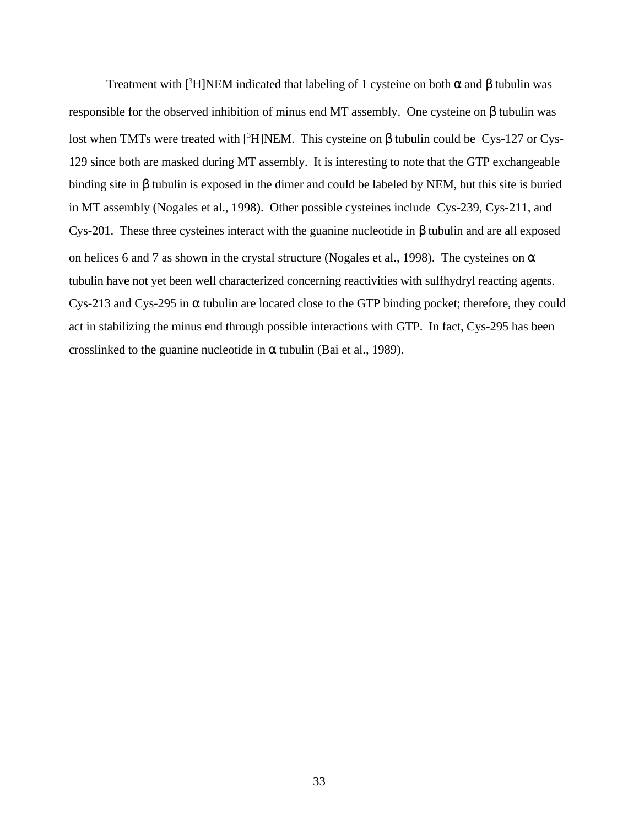Treatment with [<sup>3</sup>H]NEM indicated that labeling of 1 cysteine on both  $\alpha$  and  $\beta$  tubulin was responsible for the observed inhibition of minus end MT assembly. One cysteine on β tubulin was lost when TMTs were treated with [<sup>3</sup>H]NEM. This cysteine on β tubulin could be Cys-127 or Cys-129 since both are masked during MT assembly. It is interesting to note that the GTP exchangeable binding site in β tubulin is exposed in the dimer and could be labeled by NEM, but this site is buried in MT assembly (Nogales et al., 1998). Other possible cysteines include Cys-239, Cys-211, and Cys-201. These three cysteines interact with the guanine nucleotide in β tubulin and are all exposed on helices 6 and 7 as shown in the crystal structure (Nogales et al., 1998). The cysteines on  $\alpha$ tubulin have not yet been well characterized concerning reactivities with sulfhydryl reacting agents. Cys-213 and Cys-295 in  $\alpha$  tubulin are located close to the GTP binding pocket; therefore, they could act in stabilizing the minus end through possible interactions with GTP. In fact, Cys-295 has been crosslinked to the guanine nucleotide in  $\alpha$  tubulin (Bai et al., 1989).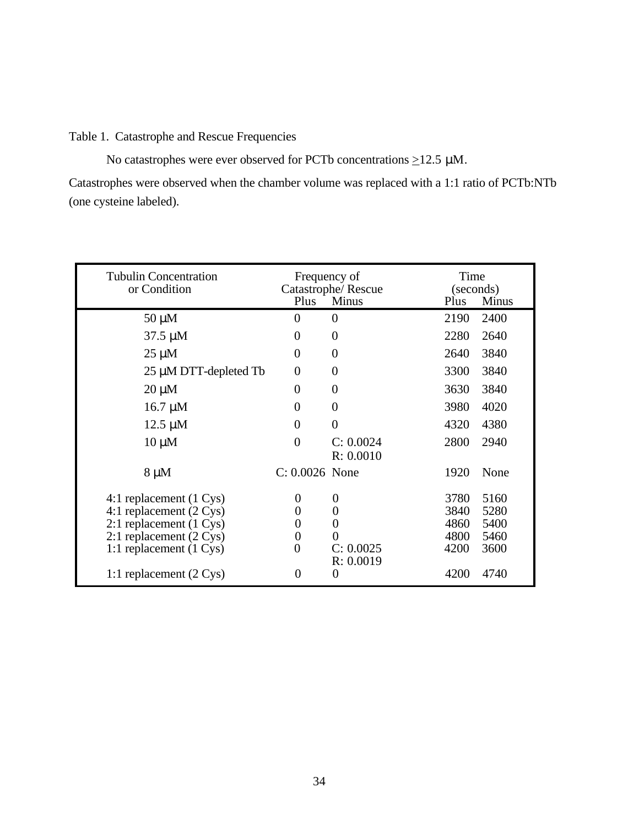## Table 1. Catastrophe and Rescue Frequencies

No catastrophes were ever observed for PCTb concentrations  $\geq$ 12.5 µM.

Catastrophes were observed when the chamber volume was replaced with a 1:1 ratio of PCTb:NTb (one cysteine labeled).

| <b>Tubulin Concentration</b><br>or Condition                                                                                 | Frequency of<br>Plus | Catastrophe/Rescue<br><b>Minus</b> | Time<br>(seconds)<br>Plus    | <b>Minus</b>                 |
|------------------------------------------------------------------------------------------------------------------------------|----------------------|------------------------------------|------------------------------|------------------------------|
| $50 \mu M$                                                                                                                   | $\theta$             | $\theta$                           | 2190                         | 2400                         |
| $37.5 \mu M$                                                                                                                 | $\Omega$             | 0                                  | 2280                         | 2640                         |
| $25 \mu M$                                                                                                                   | $\overline{0}$       | 0                                  | 2640                         | 3840                         |
| 25 µM DTT-depleted Tb                                                                                                        | 0                    | 0                                  | 3300                         | 3840                         |
| $20 \mu M$                                                                                                                   | $\overline{0}$       | 0                                  | 3630                         | 3840                         |
| $16.7 \mu M$                                                                                                                 | $\Omega$             | 0                                  | 3980                         | 4020                         |
| $12.5 \mu M$                                                                                                                 | 0                    | 0                                  | 4320                         | 4380                         |
| $10 \mu M$                                                                                                                   | $\Omega$             | C: 0.0024<br>R: 0.0010             | 2800                         | 2940                         |
| $8 \mu M$                                                                                                                    | $C: 0.0026$ None     |                                    | 1920                         | None                         |
| 4:1 replacement (1 Cys)<br>4:1 replacement $(2 \text{ Cys})$<br>2:1 replacement (1 Cys)<br>2:1 replacement $(2 \text{ Cys})$ | 0<br>0<br>0<br>0     | $\boldsymbol{0}$<br>0<br>0         | 3780<br>3840<br>4860<br>4800 | 5160<br>5280<br>5400<br>5460 |
| 1:1 replacement (1 Cys)                                                                                                      | $\theta$             | C: 0.0025<br>R: 0.0019             | 4200                         | 3600                         |
| 1:1 replacement $(2 \text{ Cys})$                                                                                            | 0                    | 0                                  | 4200                         | 4740                         |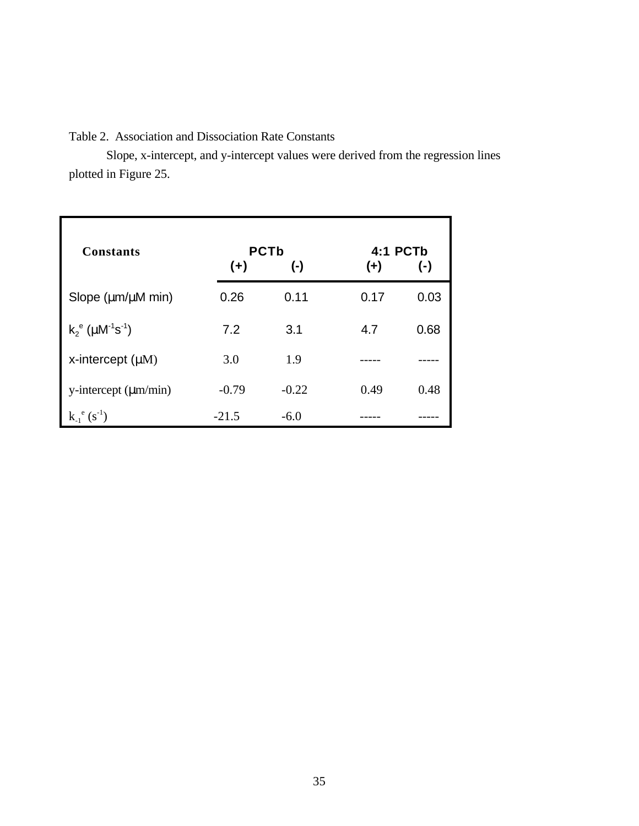# Table 2. Association and Dissociation Rate Constants

Slope, x-intercept, and y-intercept values were derived from the regression lines plotted in Figure 25.

| <b>Constants</b>                                  | $(+)$   | <b>PCTb</b><br>$(\cdot)$ | 4:1 PCTb<br>$(+)$ | $(-)$ |
|---------------------------------------------------|---------|--------------------------|-------------------|-------|
| Slope (um/uM min)                                 | 0.26    | 0.11                     | 0.17              | 0.03  |
| $k_2^e$ ( $\mu$ M <sup>-1</sup> s <sup>-1</sup> ) | 7.2     | 3.1                      | 4.7               | 0.68  |
| x-intercept $(\mu M)$                             | 3.0     | 1.9                      |                   |       |
| $y-intercept (µm/min)$                            | $-0.79$ | $-0.22$                  | 0.49              | 0.48  |
| $k_{-1}^{\ e} (s^{-1})$                           | $-21.5$ | $-6.0$                   |                   |       |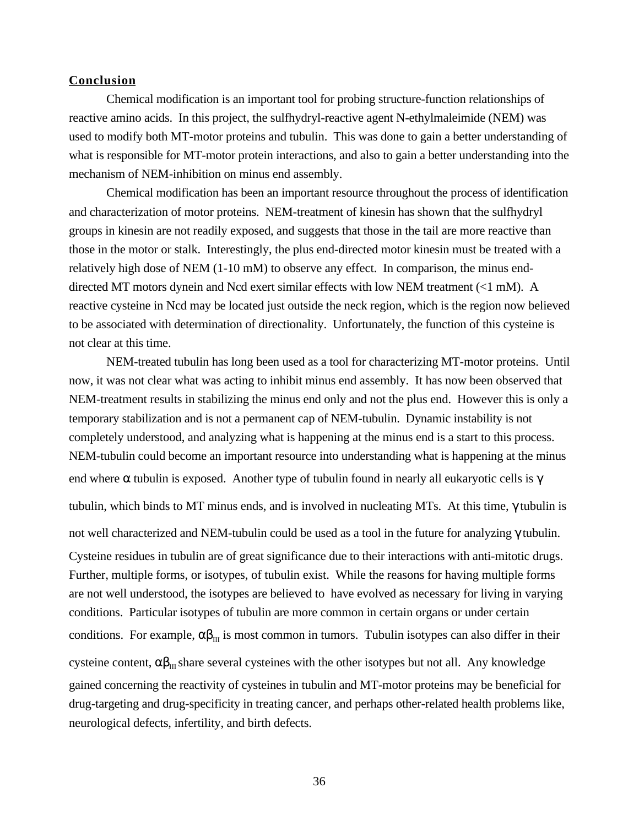## **Conclusion**

Chemical modification is an important tool for probing structure-function relationships of reactive amino acids. In this project, the sulfhydryl-reactive agent N-ethylmaleimide (NEM) was used to modify both MT-motor proteins and tubulin. This was done to gain a better understanding of what is responsible for MT-motor protein interactions, and also to gain a better understanding into the mechanism of NEM-inhibition on minus end assembly.

Chemical modification has been an important resource throughout the process of identification and characterization of motor proteins. NEM-treatment of kinesin has shown that the sulfhydryl groups in kinesin are not readily exposed, and suggests that those in the tail are more reactive than those in the motor or stalk. Interestingly, the plus end-directed motor kinesin must be treated with a relatively high dose of NEM (1-10 mM) to observe any effect. In comparison, the minus enddirected MT motors dynein and Ncd exert similar effects with low NEM treatment (<1 mM). A reactive cysteine in Ncd may be located just outside the neck region, which is the region now believed to be associated with determination of directionality. Unfortunately, the function of this cysteine is not clear at this time.

NEM-treated tubulin has long been used as a tool for characterizing MT-motor proteins. Until now, it was not clear what was acting to inhibit minus end assembly. It has now been observed that NEM-treatment results in stabilizing the minus end only and not the plus end. However this is only a temporary stabilization and is not a permanent cap of NEM-tubulin. Dynamic instability is not completely understood, and analyzing what is happening at the minus end is a start to this process. NEM-tubulin could become an important resource into understanding what is happening at the minus end where  $\alpha$  tubulin is exposed. Another type of tubulin found in nearly all eukaryotic cells is  $\gamma$ tubulin, which binds to MT minus ends, and is involved in nucleating MTs. At this time, γ tubulin is not well characterized and NEM-tubulin could be used as a tool in the future for analyzing γ tubulin. Cysteine residues in tubulin are of great significance due to their interactions with anti-mitotic drugs. Further, multiple forms, or isotypes, of tubulin exist. While the reasons for having multiple forms are not well understood, the isotypes are believed to have evolved as necessary for living in varying conditions. Particular isotypes of tubulin are more common in certain organs or under certain conditions. For example,  $\alpha\beta_{III}$  is most common in tumors. Tubulin isotypes can also differ in their cysteine content,  $\alpha\beta_{III}$  share several cysteines with the other isotypes but not all. Any knowledge gained concerning the reactivity of cysteines in tubulin and MT-motor proteins may be beneficial for drug-targeting and drug-specificity in treating cancer, and perhaps other-related health problems like, neurological defects, infertility, and birth defects.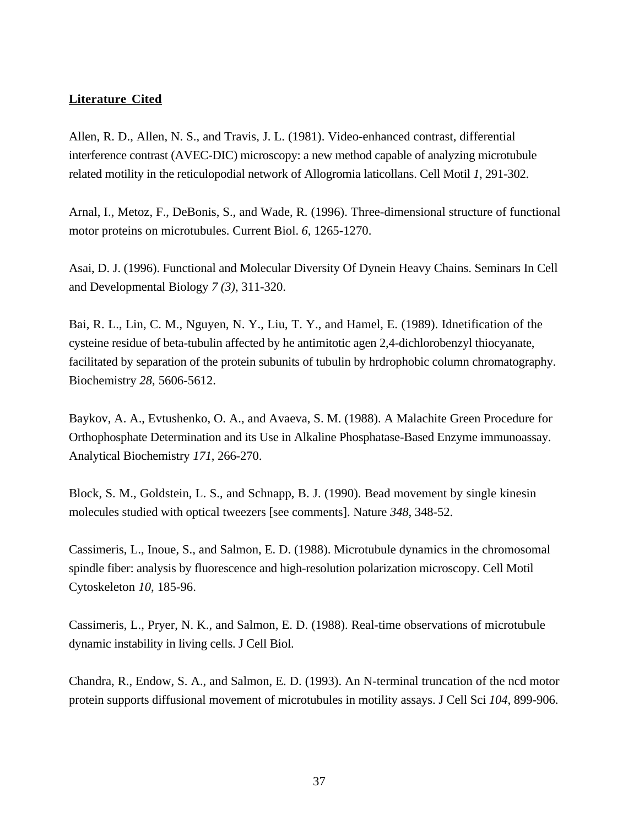## **Literature Cited**

Allen, R. D., Allen, N. S., and Travis, J. L. (1981). Video-enhanced contrast, differential interference contrast (AVEC-DIC) microscopy: a new method capable of analyzing microtubule related motility in the reticulopodial network of Allogromia laticollans. Cell Motil *1*, 291-302.

Arnal, I., Metoz, F., DeBonis, S., and Wade, R. (1996). Three-dimensional structure of functional motor proteins on microtubules. Current Biol. *6*, 1265-1270.

Asai, D. J. (1996). Functional and Molecular Diversity Of Dynein Heavy Chains. Seminars In Cell and Developmental Biology *7 (3)*, 311-320.

Bai, R. L., Lin, C. M., Nguyen, N. Y., Liu, T. Y., and Hamel, E. (1989). Idnetification of the cysteine residue of beta-tubulin affected by he antimitotic agen 2,4-dichlorobenzyl thiocyanate, facilitated by separation of the protein subunits of tubulin by hrdrophobic column chromatography. Biochemistry *28*, 5606-5612.

Baykov, A. A., Evtushenko, O. A., and Avaeva, S. M. (1988). A Malachite Green Procedure for Orthophosphate Determination and its Use in Alkaline Phosphatase-Based Enzyme immunoassay. Analytical Biochemistry *171*, 266-270.

Block, S. M., Goldstein, L. S., and Schnapp, B. J. (1990). Bead movement by single kinesin molecules studied with optical tweezers [see comments]. Nature *348*, 348-52.

Cassimeris, L., Inoue, S., and Salmon, E. D. (1988). Microtubule dynamics in the chromosomal spindle fiber: analysis by fluorescence and high-resolution polarization microscopy. Cell Motil Cytoskeleton *10*, 185-96.

Cassimeris, L., Pryer, N. K., and Salmon, E. D. (1988). Real-time observations of microtubule dynamic instability in living cells. J Cell Biol.

Chandra, R., Endow, S. A., and Salmon, E. D. (1993). An N-terminal truncation of the ncd motor protein supports diffusional movement of microtubules in motility assays. J Cell Sci *104*, 899-906.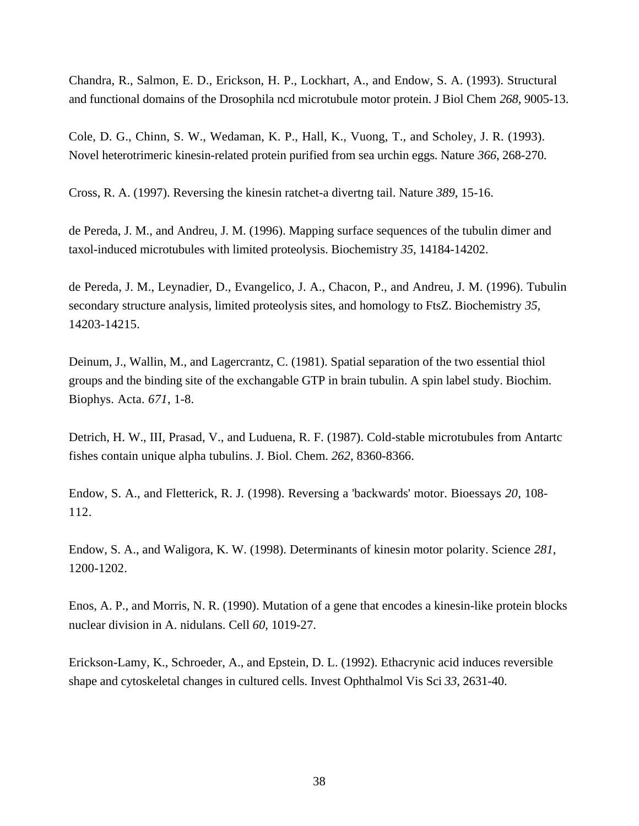Chandra, R., Salmon, E. D., Erickson, H. P., Lockhart, A., and Endow, S. A. (1993). Structural and functional domains of the Drosophila ncd microtubule motor protein. J Biol Chem *268*, 9005-13.

Cole, D. G., Chinn, S. W., Wedaman, K. P., Hall, K., Vuong, T., and Scholey, J. R. (1993). Novel heterotrimeric kinesin-related protein purified from sea urchin eggs. Nature *366*, 268-270.

Cross, R. A. (1997). Reversing the kinesin ratchet-a divertng tail. Nature *389*, 15-16.

de Pereda, J. M., and Andreu, J. M. (1996). Mapping surface sequences of the tubulin dimer and taxol-induced microtubules with limited proteolysis. Biochemistry *35*, 14184-14202.

de Pereda, J. M., Leynadier, D., Evangelico, J. A., Chacon, P., and Andreu, J. M. (1996). Tubulin secondary structure analysis, limited proteolysis sites, and homology to FtsZ. Biochemistry *35*, 14203-14215.

Deinum, J., Wallin, M., and Lagercrantz, C. (1981). Spatial separation of the two essential thiol groups and the binding site of the exchangable GTP in brain tubulin. A spin label study. Biochim. Biophys. Acta. *671*, 1-8.

Detrich, H. W., III, Prasad, V., and Luduena, R. F. (1987). Cold-stable microtubules from Antartc fishes contain unique alpha tubulins. J. Biol. Chem. *262*, 8360-8366.

Endow, S. A., and Fletterick, R. J. (1998). Reversing a 'backwards' motor. Bioessays *20*, 108- 112.

Endow, S. A., and Waligora, K. W. (1998). Determinants of kinesin motor polarity. Science *281*, 1200-1202.

Enos, A. P., and Morris, N. R. (1990). Mutation of a gene that encodes a kinesin-like protein blocks nuclear division in A. nidulans. Cell *60*, 1019-27.

Erickson-Lamy, K., Schroeder, A., and Epstein, D. L. (1992). Ethacrynic acid induces reversible shape and cytoskeletal changes in cultured cells. Invest Ophthalmol Vis Sci *33*, 2631-40.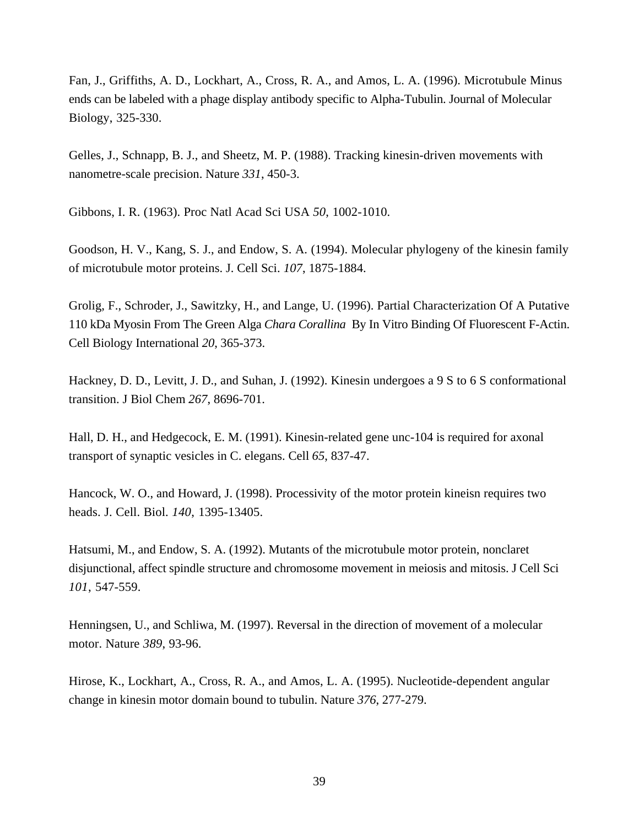Fan, J., Griffiths, A. D., Lockhart, A., Cross, R. A., and Amos, L. A. (1996). Microtubule Minus ends can be labeled with a phage display antibody specific to Alpha-Tubulin. Journal of Molecular Biology, 325-330.

Gelles, J., Schnapp, B. J., and Sheetz, M. P. (1988). Tracking kinesin-driven movements with nanometre-scale precision. Nature *331*, 450-3.

Gibbons, I. R. (1963). Proc Natl Acad Sci USA *50*, 1002-1010.

Goodson, H. V., Kang, S. J., and Endow, S. A. (1994). Molecular phylogeny of the kinesin family of microtubule motor proteins. J. Cell Sci. *107*, 1875-1884.

Grolig, F., Schroder, J., Sawitzky, H., and Lange, U. (1996). Partial Characterization Of A Putative 110 kDa Myosin From The Green Alga *Chara Corallina* By In Vitro Binding Of Fluorescent F-Actin. Cell Biology International *20*, 365-373.

Hackney, D. D., Levitt, J. D., and Suhan, J. (1992). Kinesin undergoes a 9 S to 6 S conformational transition. J Biol Chem *267*, 8696-701.

Hall, D. H., and Hedgecock, E. M. (1991). Kinesin-related gene unc-104 is required for axonal transport of synaptic vesicles in C. elegans. Cell *65*, 837-47.

Hancock, W. O., and Howard, J. (1998). Processivity of the motor protein kineisn requires two heads. J. Cell. Biol. *140*, 1395-13405.

Hatsumi, M., and Endow, S. A. (1992). Mutants of the microtubule motor protein, nonclaret disjunctional, affect spindle structure and chromosome movement in meiosis and mitosis. J Cell Sci *101*, 547-559.

Henningsen, U., and Schliwa, M. (1997). Reversal in the direction of movement of a molecular motor. Nature *389*, 93-96.

Hirose, K., Lockhart, A., Cross, R. A., and Amos, L. A. (1995). Nucleotide-dependent angular change in kinesin motor domain bound to tubulin. Nature *376*, 277-279.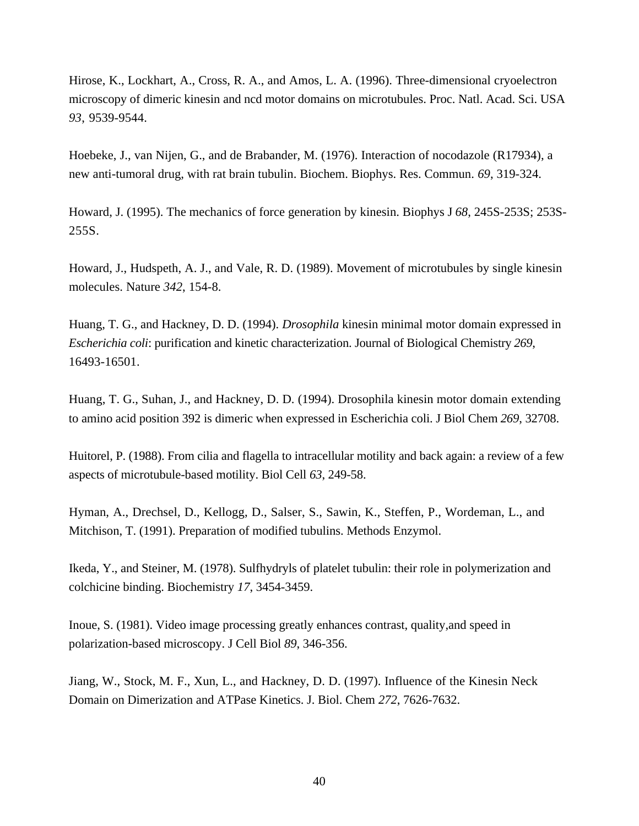Hirose, K., Lockhart, A., Cross, R. A., and Amos, L. A. (1996). Three-dimensional cryoelectron microscopy of dimeric kinesin and ncd motor domains on microtubules. Proc. Natl. Acad. Sci. USA *93*, 9539-9544.

Hoebeke, J., van Nijen, G., and de Brabander, M. (1976). Interaction of nocodazole (R17934), a new anti-tumoral drug, with rat brain tubulin. Biochem. Biophys. Res. Commun. *69*, 319-324.

Howard, J. (1995). The mechanics of force generation by kinesin. Biophys J *68*, 245S-253S; 253S-255S.

Howard, J., Hudspeth, A. J., and Vale, R. D. (1989). Movement of microtubules by single kinesin molecules. Nature *342*, 154-8.

Huang, T. G., and Hackney, D. D. (1994). *Drosophila* kinesin minimal motor domain expressed in *Escherichia coli*: purification and kinetic characterization. Journal of Biological Chemistry *269*, 16493-16501.

Huang, T. G., Suhan, J., and Hackney, D. D. (1994). Drosophila kinesin motor domain extending to amino acid position 392 is dimeric when expressed in Escherichia coli. J Biol Chem *269*, 32708.

Huitorel, P. (1988). From cilia and flagella to intracellular motility and back again: a review of a few aspects of microtubule-based motility. Biol Cell *63*, 249-58.

Hyman, A., Drechsel, D., Kellogg, D., Salser, S., Sawin, K., Steffen, P., Wordeman, L., and Mitchison, T. (1991). Preparation of modified tubulins. Methods Enzymol.

Ikeda, Y., and Steiner, M. (1978). Sulfhydryls of platelet tubulin: their role in polymerization and colchicine binding. Biochemistry *17*, 3454-3459.

Inoue, S. (1981). Video image processing greatly enhances contrast, quality,and speed in polarization-based microscopy. J Cell Biol *89*, 346-356.

Jiang, W., Stock, M. F., Xun, L., and Hackney, D. D. (1997). Influence of the Kinesin Neck Domain on Dimerization and ATPase Kinetics. J. Biol. Chem *272*, 7626-7632.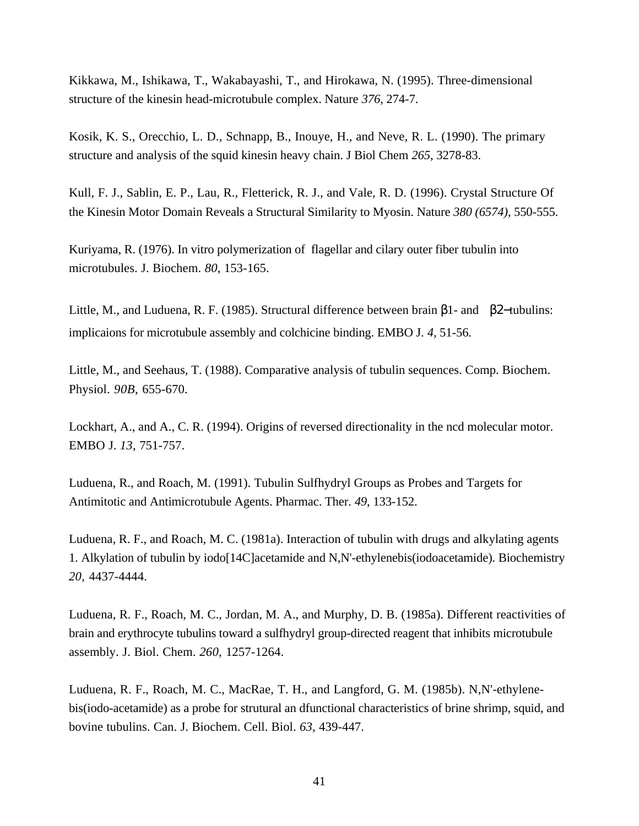Kikkawa, M., Ishikawa, T., Wakabayashi, T., and Hirokawa, N. (1995). Three-dimensional structure of the kinesin head-microtubule complex. Nature *376*, 274-7.

Kosik, K. S., Orecchio, L. D., Schnapp, B., Inouye, H., and Neve, R. L. (1990). The primary structure and analysis of the squid kinesin heavy chain. J Biol Chem *265*, 3278-83.

Kull, F. J., Sablin, E. P., Lau, R., Fletterick, R. J., and Vale, R. D. (1996). Crystal Structure Of the Kinesin Motor Domain Reveals a Structural Similarity to Myosin. Nature *380 (6574)*, 550-555.

Kuriyama, R. (1976). In vitro polymerization of flagellar and cilary outer fiber tubulin into microtubules. J. Biochem. *80*, 153-165.

Little, M., and Luduena, R. F. (1985). Structural difference between brain β1- and β2−tubulins: implicaions for microtubule assembly and colchicine binding. EMBO J. *4*, 51-56.

Little, M., and Seehaus, T. (1988). Comparative analysis of tubulin sequences. Comp. Biochem. Physiol. *90B*, 655-670.

Lockhart, A., and A., C. R. (1994). Origins of reversed directionality in the ncd molecular motor. EMBO J. *13*, 751-757.

Luduena, R., and Roach, M. (1991). Tubulin Sulfhydryl Groups as Probes and Targets for Antimitotic and Antimicrotubule Agents. Pharmac. Ther. *49*, 133-152.

Luduena, R. F., and Roach, M. C. (1981a). Interaction of tubulin with drugs and alkylating agents 1. Alkylation of tubulin by iodo[14C]acetamide and N,N'-ethylenebis(iodoacetamide). Biochemistry *20*, 4437-4444.

Luduena, R. F., Roach, M. C., Jordan, M. A., and Murphy, D. B. (1985a). Different reactivities of brain and erythrocyte tubulins toward a sulfhydryl group-directed reagent that inhibits microtubule assembly. J. Biol. Chem. *260*, 1257-1264.

Luduena, R. F., Roach, M. C., MacRae, T. H., and Langford, G. M. (1985b). N,N'-ethylenebis(iodo-acetamide) as a probe for strutural an dfunctional characteristics of brine shrimp, squid, and bovine tubulins. Can. J. Biochem. Cell. Biol. *63*, 439-447.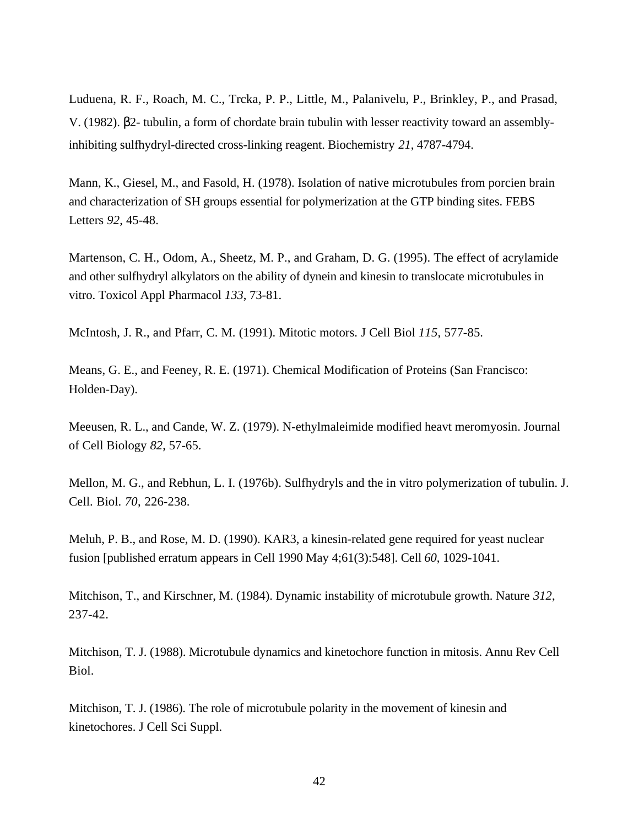Luduena, R. F., Roach, M. C., Trcka, P. P., Little, M., Palanivelu, P., Brinkley, P., and Prasad, V. (1982). β2- tubulin, a form of chordate brain tubulin with lesser reactivity toward an assemblyinhibiting sulfhydryl-directed cross-linking reagent. Biochemistry *21*, 4787-4794.

Mann, K., Giesel, M., and Fasold, H. (1978). Isolation of native microtubules from porcien brain and characterization of SH groups essential for polymerization at the GTP binding sites. FEBS Letters *92*, 45-48.

Martenson, C. H., Odom, A., Sheetz, M. P., and Graham, D. G. (1995). The effect of acrylamide and other sulfhydryl alkylators on the ability of dynein and kinesin to translocate microtubules in vitro. Toxicol Appl Pharmacol *133*, 73-81.

McIntosh, J. R., and Pfarr, C. M. (1991). Mitotic motors. J Cell Biol *115*, 577-85.

Means, G. E., and Feeney, R. E. (1971). Chemical Modification of Proteins (San Francisco: Holden-Day).

Meeusen, R. L., and Cande, W. Z. (1979). N-ethylmaleimide modified heavt meromyosin. Journal of Cell Biology *82*, 57-65.

Mellon, M. G., and Rebhun, L. I. (1976b). Sulfhydryls and the in vitro polymerization of tubulin. J. Cell. Biol. *70*, 226-238.

Meluh, P. B., and Rose, M. D. (1990). KAR3, a kinesin-related gene required for yeast nuclear fusion [published erratum appears in Cell 1990 May 4;61(3):548]. Cell *60*, 1029-1041.

Mitchison, T., and Kirschner, M. (1984). Dynamic instability of microtubule growth. Nature *312*, 237-42.

Mitchison, T. J. (1988). Microtubule dynamics and kinetochore function in mitosis. Annu Rev Cell Biol.

Mitchison, T. J. (1986). The role of microtubule polarity in the movement of kinesin and kinetochores. J Cell Sci Suppl.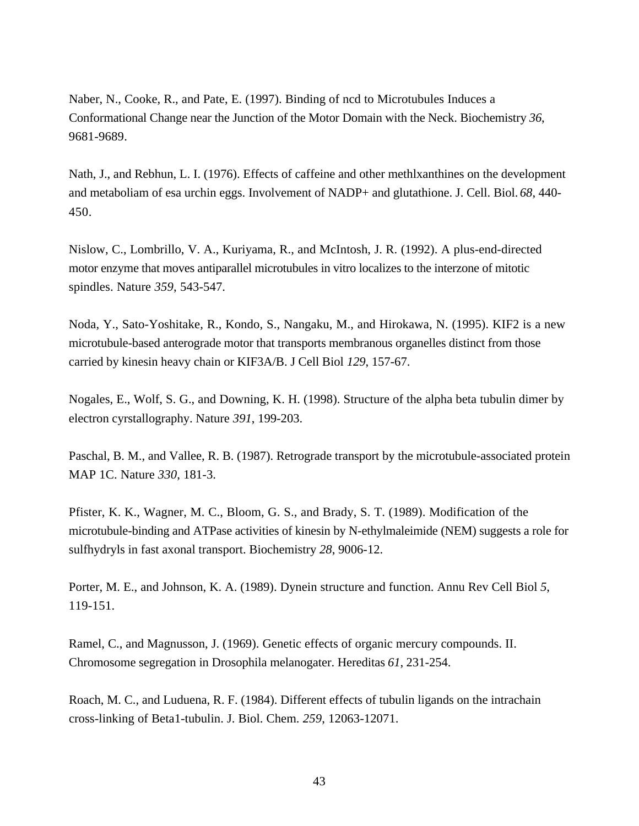Naber, N., Cooke, R., and Pate, E. (1997). Binding of ncd to Microtubules Induces a Conformational Change near the Junction of the Motor Domain with the Neck. Biochemistry *36*, 9681-9689.

Nath, J., and Rebhun, L. I. (1976). Effects of caffeine and other methlxanthines on the development and metaboliam of esa urchin eggs. Involvement of NADP+ and glutathione. J. Cell. Biol. *68*, 440- 450.

Nislow, C., Lombrillo, V. A., Kuriyama, R., and McIntosh, J. R. (1992). A plus-end-directed motor enzyme that moves antiparallel microtubules in vitro localizes to the interzone of mitotic spindles. Nature *359*, 543-547.

Noda, Y., Sato-Yoshitake, R., Kondo, S., Nangaku, M., and Hirokawa, N. (1995). KIF2 is a new microtubule-based anterograde motor that transports membranous organelles distinct from those carried by kinesin heavy chain or KIF3A/B. J Cell Biol *129*, 157-67.

Nogales, E., Wolf, S. G., and Downing, K. H. (1998). Structure of the alpha beta tubulin dimer by electron cyrstallography. Nature *391*, 199-203.

Paschal, B. M., and Vallee, R. B. (1987). Retrograde transport by the microtubule-associated protein MAP 1C. Nature *330*, 181-3.

Pfister, K. K., Wagner, M. C., Bloom, G. S., and Brady, S. T. (1989). Modification of the microtubule-binding and ATPase activities of kinesin by N-ethylmaleimide (NEM) suggests a role for sulfhydryls in fast axonal transport. Biochemistry *28*, 9006-12.

Porter, M. E., and Johnson, K. A. (1989). Dynein structure and function. Annu Rev Cell Biol *5*, 119-151.

Ramel, C., and Magnusson, J. (1969). Genetic effects of organic mercury compounds. II. Chromosome segregation in Drosophila melanogater. Hereditas *61*, 231-254.

Roach, M. C., and Luduena, R. F. (1984). Different effects of tubulin ligands on the intrachain cross-linking of Beta1-tubulin. J. Biol. Chem. *259*, 12063-12071.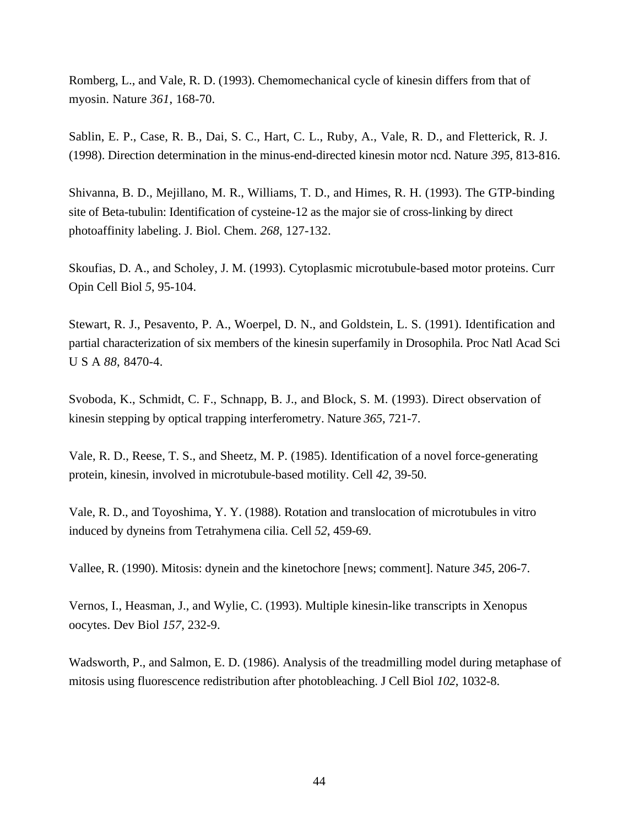Romberg, L., and Vale, R. D. (1993). Chemomechanical cycle of kinesin differs from that of myosin. Nature *361*, 168-70.

Sablin, E. P., Case, R. B., Dai, S. C., Hart, C. L., Ruby, A., Vale, R. D., and Fletterick, R. J. (1998). Direction determination in the minus-end-directed kinesin motor ncd. Nature *395*, 813-816.

Shivanna, B. D., Mejillano, M. R., Williams, T. D., and Himes, R. H. (1993). The GTP-binding site of Beta-tubulin: Identification of cysteine-12 as the major sie of cross-linking by direct photoaffinity labeling. J. Biol. Chem. *268*, 127-132.

Skoufias, D. A., and Scholey, J. M. (1993). Cytoplasmic microtubule-based motor proteins. Curr Opin Cell Biol *5*, 95-104.

Stewart, R. J., Pesavento, P. A., Woerpel, D. N., and Goldstein, L. S. (1991). Identification and partial characterization of six members of the kinesin superfamily in Drosophila. Proc Natl Acad Sci U S A *88*, 8470-4.

Svoboda, K., Schmidt, C. F., Schnapp, B. J., and Block, S. M. (1993). Direct observation of kinesin stepping by optical trapping interferometry. Nature *365*, 721-7.

Vale, R. D., Reese, T. S., and Sheetz, M. P. (1985). Identification of a novel force-generating protein, kinesin, involved in microtubule-based motility. Cell *42*, 39-50.

Vale, R. D., and Toyoshima, Y. Y. (1988). Rotation and translocation of microtubules in vitro induced by dyneins from Tetrahymena cilia. Cell *52*, 459-69.

Vallee, R. (1990). Mitosis: dynein and the kinetochore [news; comment]. Nature *345*, 206-7.

Vernos, I., Heasman, J., and Wylie, C. (1993). Multiple kinesin-like transcripts in Xenopus oocytes. Dev Biol *157*, 232-9.

Wadsworth, P., and Salmon, E. D. (1986). Analysis of the treadmilling model during metaphase of mitosis using fluorescence redistribution after photobleaching. J Cell Biol *102*, 1032-8.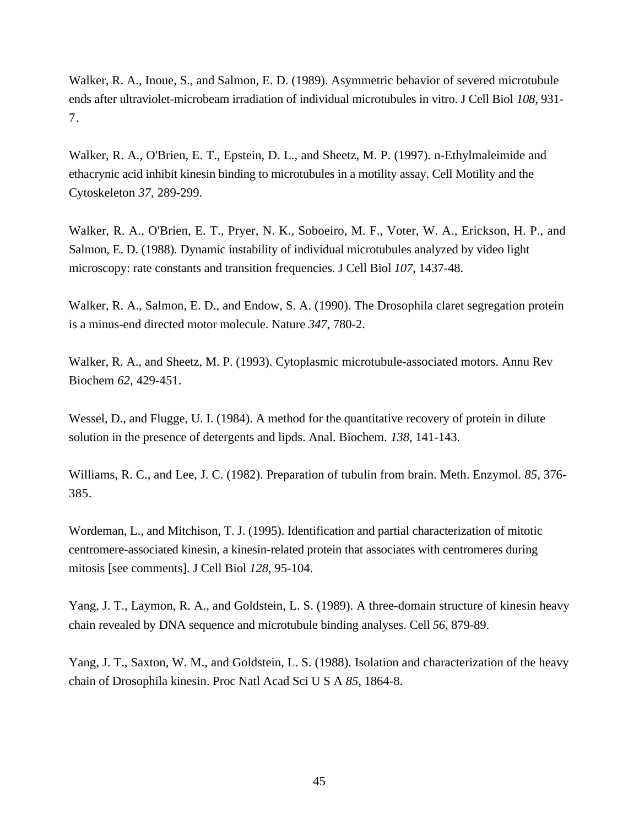Walker, R. A., Inoue, S., and Salmon, E. D. (1989). Asymmetric behavior of severed microtubule ends after ultraviolet-microbeam irradiation of individual microtubules in vitro. J Cell Biol *108*, 931- 7.

Walker, R. A., O'Brien, E. T., Epstein, D. L., and Sheetz, M. P. (1997). n-Ethylmaleimide and ethacrynic acid inhibit kinesin binding to microtubules in a motility assay. Cell Motility and the Cytoskeleton *37*, 289-299.

Walker, R. A., O'Brien, E. T., Pryer, N. K., Soboeiro, M. F., Voter, W. A., Erickson, H. P., and Salmon, E. D. (1988). Dynamic instability of individual microtubules analyzed by video light microscopy: rate constants and transition frequencies. J Cell Biol *107*, 1437-48.

Walker, R. A., Salmon, E. D., and Endow, S. A. (1990). The Drosophila claret segregation protein is a minus-end directed motor molecule. Nature *347*, 780-2.

Walker, R. A., and Sheetz, M. P. (1993). Cytoplasmic microtubule-associated motors. Annu Rev Biochem *62*, 429-451.

Wessel, D., and Flugge, U. I. (1984). A method for the quantitative recovery of protein in dilute solution in the presence of detergents and lipds. Anal. Biochem. *138*, 141-143.

Williams, R. C., and Lee, J. C. (1982). Preparation of tubulin from brain. Meth. Enzymol. *85*, 376- 385.

Wordeman, L., and Mitchison, T. J. (1995). Identification and partial characterization of mitotic centromere-associated kinesin, a kinesin-related protein that associates with centromeres during mitosis [see comments]. J Cell Biol *128*, 95-104.

Yang, J. T., Laymon, R. A., and Goldstein, L. S. (1989). A three-domain structure of kinesin heavy chain revealed by DNA sequence and microtubule binding analyses. Cell *56*, 879-89.

Yang, J. T., Saxton, W. M., and Goldstein, L. S. (1988). Isolation and characterization of the heavy chain of Drosophila kinesin. Proc Natl Acad Sci U S A *85*, 1864-8.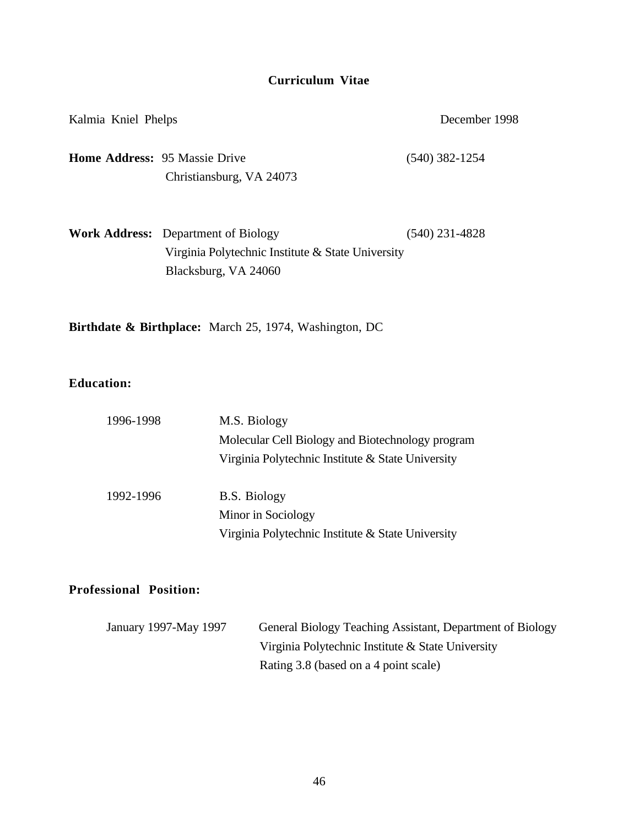# **Curriculum Vitae**

| Kalmia Kniel Phelps                  |                                                                                                                         | December 1998    |  |
|--------------------------------------|-------------------------------------------------------------------------------------------------------------------------|------------------|--|
| <b>Home Address: 95 Massie Drive</b> | Christiansburg, VA 24073                                                                                                | $(540)$ 382-1254 |  |
|                                      | <b>Work Address:</b> Department of Biology<br>Virginia Polytechnic Institute & State University<br>Blacksburg, VA 24060 | (540) 231-4828   |  |

**Birthdate & Birthplace:** March 25, 1974, Washington, DC

# **Education:**

| 1996-1998 | M.S. Biology                                      |  |  |
|-----------|---------------------------------------------------|--|--|
|           | Molecular Cell Biology and Biotechnology program  |  |  |
|           | Virginia Polytechnic Institute & State University |  |  |
| 1992-1996 | <b>B.S. Biology</b>                               |  |  |
|           | Minor in Sociology                                |  |  |
|           | Virginia Polytechnic Institute & State University |  |  |

# **Professional Position:**

| January 1997-May 1997 | General Biology Teaching Assistant, Department of Biology |
|-----------------------|-----------------------------------------------------------|
|                       | Virginia Polytechnic Institute & State University         |
|                       | Rating 3.8 (based on a 4 point scale)                     |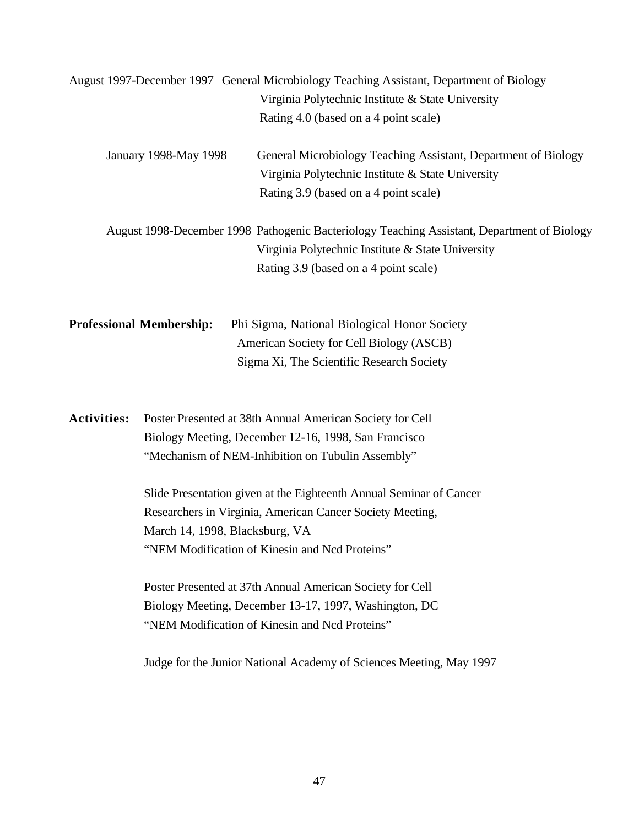|                    |                                 | August 1997-December 1997 General Microbiology Teaching Assistant, Department of Biology<br>Virginia Polytechnic Institute & State University<br>Rating 4.0 (based on a 4 point scale)                                                                                                                                                                                                                                    |
|--------------------|---------------------------------|---------------------------------------------------------------------------------------------------------------------------------------------------------------------------------------------------------------------------------------------------------------------------------------------------------------------------------------------------------------------------------------------------------------------------|
|                    | January 1998-May 1998           | General Microbiology Teaching Assistant, Department of Biology<br>Virginia Polytechnic Institute & State University<br>Rating 3.9 (based on a 4 point scale)                                                                                                                                                                                                                                                              |
|                    |                                 | August 1998-December 1998 Pathogenic Bacteriology Teaching Assistant, Department of Biology<br>Virginia Polytechnic Institute & State University<br>Rating 3.9 (based on a 4 point scale)                                                                                                                                                                                                                                 |
|                    | <b>Professional Membership:</b> | Phi Sigma, National Biological Honor Society<br>American Society for Cell Biology (ASCB)<br>Sigma Xi, The Scientific Research Society                                                                                                                                                                                                                                                                                     |
| <b>Activities:</b> | March 14, 1998, Blacksburg, VA  | Poster Presented at 38th Annual American Society for Cell<br>Biology Meeting, December 12-16, 1998, San Francisco<br>"Mechanism of NEM-Inhibition on Tubulin Assembly"<br>Slide Presentation given at the Eighteenth Annual Seminar of Cancer<br>Researchers in Virginia, American Cancer Society Meeting,<br>"NEM Modification of Kinesin and Ncd Proteins"<br>Poster Presented at 37th Annual American Society for Cell |
|                    |                                 | Biology Meeting, December 13-17, 1997, Washington, DC<br>"NEM Modification of Kinesin and Ncd Proteins"                                                                                                                                                                                                                                                                                                                   |
|                    |                                 | Judge for the Junior National Academy of Sciences Meeting, May 1997                                                                                                                                                                                                                                                                                                                                                       |